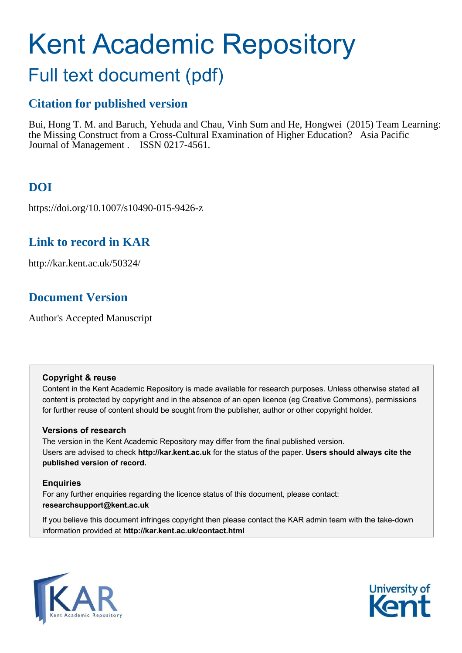# Kent Academic Repository

## Full text document (pdf)

## **Citation for published version**

Bui, Hong T. M. and Baruch, Yehuda and Chau, Vinh Sum and He, Hongwei (2015) Team Learning: the Missing Construct from a Cross-Cultural Examination of Higher Education? Asia Pacific Journal of Management . ISSN 0217-4561.

## **DOI**

https://doi.org/10.1007/s10490-015-9426-z

## **Link to record in KAR**

http://kar.kent.ac.uk/50324/

## **Document Version**

Author's Accepted Manuscript

#### **Copyright & reuse**

Content in the Kent Academic Repository is made available for research purposes. Unless otherwise stated all content is protected by copyright and in the absence of an open licence (eg Creative Commons), permissions for further reuse of content should be sought from the publisher, author or other copyright holder.

#### **Versions of research**

The version in the Kent Academic Repository may differ from the final published version. Users are advised to check **http://kar.kent.ac.uk** for the status of the paper. **Users should always cite the published version of record.**

#### **Enquiries**

For any further enquiries regarding the licence status of this document, please contact: **researchsupport@kent.ac.uk**

If you believe this document infringes copyright then please contact the KAR admin team with the take-down information provided at **http://kar.kent.ac.uk/contact.html**



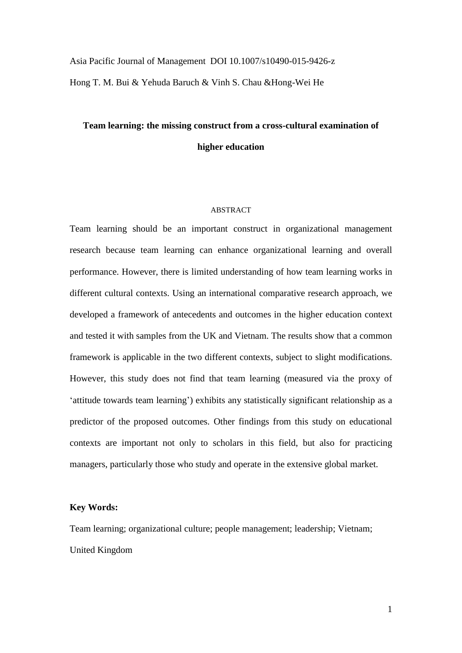Asia Pacific Journal of Management DOI 10.1007/s10490-015-9426-z Hong T. M. Bui & Yehuda Baruch & Vinh S. Chau &Hong-Wei He

## **Team learning: the missing construct from a cross-cultural examination of higher education**

#### ABSTRACT

Team learning should be an important construct in organizational management research because team learning can enhance organizational learning and overall performance. However, there is limited understanding of how team learning works in different cultural contexts. Using an international comparative research approach, we developed a framework of antecedents and outcomes in the higher education context and tested it with samples from the UK and Vietnam. The results show that a common framework is applicable in the two different contexts, subject to slight modifications. However, this study does not find that team learning (measured via the proxy of 'attitude towards team learning') exhibits any statistically significant relationship as a predictor of the proposed outcomes. Other findings from this study on educational contexts are important not only to scholars in this field, but also for practicing managers, particularly those who study and operate in the extensive global market.

#### **Key Words:**

Team learning; organizational culture; people management; leadership; Vietnam; United Kingdom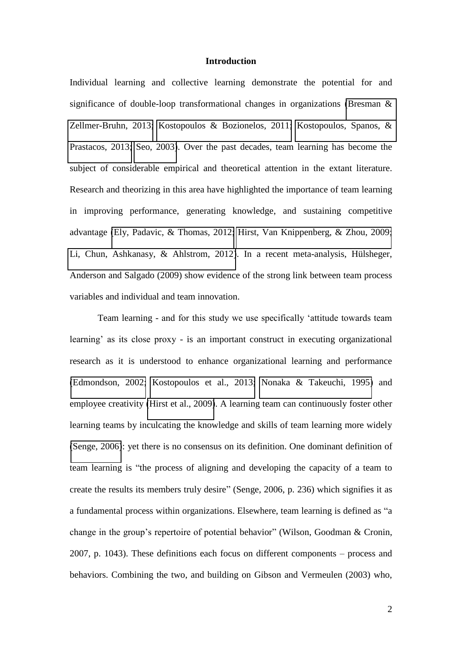#### **Introduction**

Individual learning and collective learning demonstrate the potential for and significance of double-loop transformational changes in organizations [\(Bresman &](#page-25-0)  [Zellmer-Bruhn, 2013;](#page-25-0) [Kostopoulos & Bozionelos, 2011;](#page-29-0) [Kostopoulos, Spanos, &](#page-29-1)  [Prastacos, 2013;](#page-29-1) [Seo, 2003\)](#page-32-0). Over the past decades, team learning has become the subject of considerable empirical and theoretical attention in the extant literature. Research and theorizing in this area have highlighted the importance of team learning in improving performance, generating knowledge, and sustaining competitive advantage [\(Ely, Padavic, & Thomas, 2012;](#page-27-0) [Hirst, Van Knippenberg, & Zhou, 2009;](#page-27-1) [Li, Chun, Ashkanasy, & Ahlstrom, 2012\)](#page-29-2). In a recent meta-analysis, Hülsheger, Anderson and Salgado (2009) show evidence of the strong link between team process variables and individual and team innovation.

 Team learning - and for this study we use specifically 'attitude towards team learning' as its close proxy - is an important construct in executing organizational research as it is understood to enhance organizational learning and performance [\(Edmondson, 2002;](#page-26-0) [Kostopoulos et al., 2013;](#page-29-1) [Nonaka & Takeuchi, 1995\)](#page-30-0) and employee creativity [\(Hirst et al., 2009\)](#page-27-1). A learning team can continuously foster other learning teams by inculcating the knowledge and skills of team learning more widely [\(Senge, 2006\)](#page-32-1): yet there is no consensus on its definition. One dominant definition of team learning is "the process of aligning and developing the capacity of a team to create the results its members truly desire" (Senge, 2006, p. 236) which signifies it as a fundamental process within organizations. Elsewhere, team learning is defined as "a change in the group's repertoire of potential behavior" (Wilson, Goodman & Cronin, 2007, p. 1043). These definitions each focus on different components – process and behaviors. Combining the two, and building on Gibson and Vermeulen (2003) who,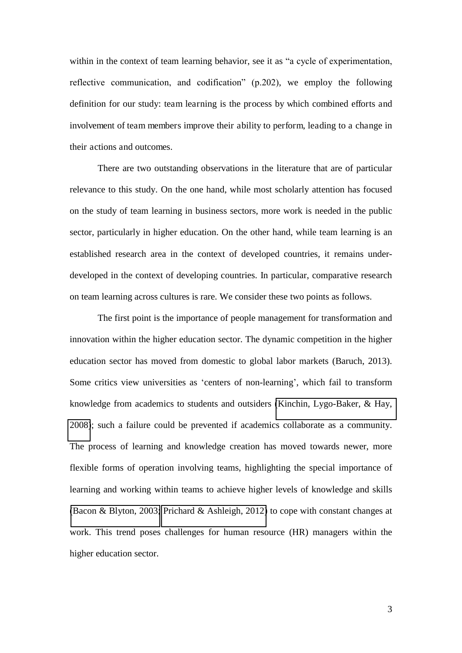within in the context of team learning behavior, see it as "a cycle of experimentation, reflective communication, and codification" (p.202), we employ the following definition for our study: team learning is the process by which combined efforts and involvement of team members improve their ability to perform, leading to a change in their actions and outcomes.

 There are two outstanding observations in the literature that are of particular relevance to this study. On the one hand, while most scholarly attention has focused on the study of team learning in business sectors, more work is needed in the public sector, particularly in higher education. On the other hand, while team learning is an established research area in the context of developed countries, it remains underdeveloped in the context of developing countries. In particular, comparative research on team learning across cultures is rare. We consider these two points as follows.

 The first point is the importance of people management for transformation and innovation within the higher education sector. The dynamic competition in the higher education sector has moved from domestic to global labor markets (Baruch, 2013). Some critics view universities as 'centers of non-learning', which fail to transform knowledge from academics to students and outsiders [\(Kinchin, Lygo-Baker, & Hay,](#page-28-0)  [2008\)](#page-28-0); such a failure could be prevented if academics collaborate as a community. The process of learning and knowledge creation has moved towards newer, more flexible forms of operation involving teams, highlighting the special importance of learning and working within teams to achieve higher levels of knowledge and skills [\(Bacon & Blyton, 2003;](#page-24-0) [Prichard & Ashleigh, 2012\)](#page-31-0) to cope with constant changes at work. This trend poses challenges for human resource (HR) managers within the higher education sector.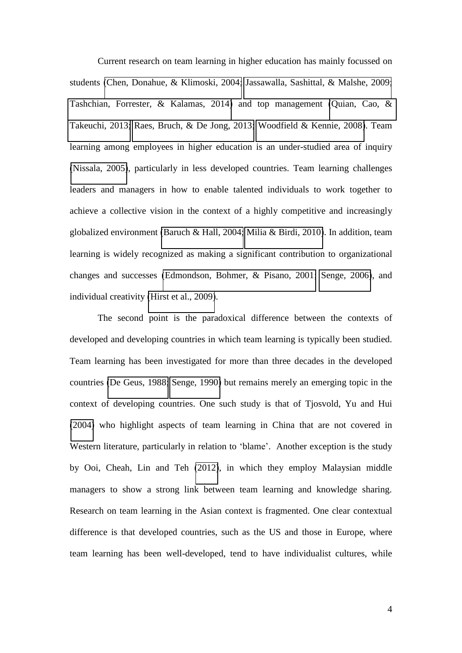Current research on team learning in higher education has mainly focussed on students [\(Chen, Donahue, & Klimoski, 2004;](#page-26-1) [Jassawalla, Sashittal, & Malshe, 2009;](#page-28-1) [Tashchian, Forrester, & Kalamas, 2014\)](#page-33-0) and top management [\(Quian, Cao, &](#page-32-2)  [Takeuchi, 2013;](#page-32-2) [Raes, Bruch, & De Jong, 2013;](#page-32-3) [Woodfield & Kennie, 2008\)](#page-34-0). Team learning among employees in higher education is an under-studied area of inquiry [\(Nissala, 2005\)](#page-30-1), particularly in less developed countries. Team learning challenges leaders and managers in how to enable talented individuals to work together to achieve a collective vision in the context of a highly competitive and increasingly globalized environment [\(Baruch & Hall, 2004;](#page-25-1) [Milia & Birdi, 2010\)](#page-30-2). In addition, team learning is widely recognized as making a significant contribution to organizational changes and successes [\(Edmondson, Bohmer, & Pisano, 2001;](#page-27-2) [Senge, 2006\)](#page-32-1), and individual creativity [\(Hirst et al., 2009\)](#page-27-1).

 The second point is the paradoxical difference between the contexts of developed and developing countries in which team learning is typically been studied. Team learning has been investigated for more than three decades in the developed countries [\(De Geus, 1988;](#page-26-2) [Senge, 1990\)](#page-32-4) but remains merely an emerging topic in the context of developing countries. One such study is that of Tjosvold, Yu and Hui [\(2004\)](#page-33-1) who highlight aspects of team learning in China that are not covered in Western literature, particularly in relation to 'blame'. Another exception is the study by Ooi, Cheah, Lin and Teh [\(2012\)](#page-30-3), in which they employ Malaysian middle managers to show a strong link between team learning and knowledge sharing. Research on team learning in the Asian context is fragmented. One clear contextual difference is that developed countries, such as the US and those in Europe, where team learning has been well-developed, tend to have individualist cultures, while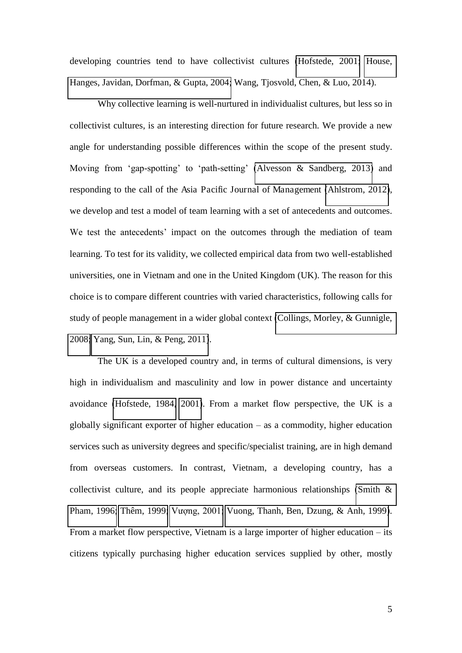developing countries tend to have collectivist cultures [\(Hofstede, 2001;](#page-28-2) [House,](#page-28-3)  [Hanges, Javidan, Dorfman, & Gupta, 2004;](#page-28-3) Wang, Tjosvold, Chen, & Luo, 2014).

 Why collective learning is well-nurtured in individualist cultures, but less so in collectivist cultures, is an interesting direction for future research. We provide a new angle for understanding possible differences within the scope of the present study. Moving from 'gap-spotting' to 'path-setting' [\(Alvesson & Sandberg, 2013\)](#page-24-1) and responding to the call of the Asia Pacific Journal of Management [\(Ahlstrom, 2012\)](#page-24-2), we develop and test a model of team learning with a set of antecedents and outcomes. We test the antecedents' impact on the outcomes through the mediation of team learning. To test for its validity, we collected empirical data from two well-established universities, one in Vietnam and one in the United Kingdom (UK). The reason for this choice is to compare different countries with varied characteristics, following calls for study of people management in a wider global context [\(Collings, Morley, & Gunnigle,](#page-26-3)  [2008;](#page-26-3) [Yang, Sun, Lin, & Peng, 2011\)](#page-34-1).

 The UK is a developed country and, in terms of cultural dimensions, is very high in individualism and masculinity and low in power distance and uncertainty avoidance [\(Hofstede, 1984,](#page-28-4) [2001\)](#page-28-2). From a market flow perspective, the UK is a globally significant exporter of higher education – as a commodity, higher education services such as university degrees and specific/specialist training, are in high demand from overseas customers. In contrast, Vietnam, a developing country, has a collectivist culture, and its people appreciate harmonious relationships [\(Smith &](#page-32-5)  [Pham, 1996;](#page-32-5) [Thêm, 1999;](#page-33-2) Vương, 2001; [Vuong, Thanh, Ben, Dzung, & Anh, 1999\)](#page-34-3). From a market flow perspective, Vietnam is a large importer of higher education – its citizens typically purchasing higher education services supplied by other, mostly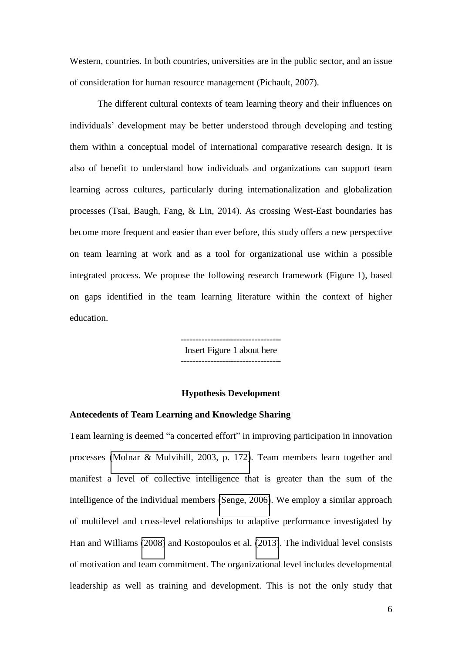Western, countries. In both countries, universities are in the public sector, and an issue of consideration for human resource management (Pichault, 2007).

 The different cultural contexts of team learning theory and their influences on individuals' development may be better understood through developing and testing them within a conceptual model of international comparative research design. It is also of benefit to understand how individuals and organizations can support team learning across cultures, particularly during internationalization and globalization processes (Tsai, Baugh, Fang, & Lin, 2014). As crossing West-East boundaries has become more frequent and easier than ever before, this study offers a new perspective on team learning at work and as a tool for organizational use within a possible integrated process. We propose the following research framework (Figure 1), based on gaps identified in the team learning literature within the context of higher education.

> ---------------------------------- Insert Figure 1 about here ----------------------------------

#### **Hypothesis Development**

#### **Antecedents of Team Learning and Knowledge Sharing**

Team learning is deemed "a concerted effort" in improving participation in innovation processes [\(Molnar & Mulvihill, 2003, p. 172\)](#page-30-4). Team members learn together and manifest a level of collective intelligence that is greater than the sum of the intelligence of the individual members [\(Senge, 2006\)](#page-32-1). We employ a similar approach of multilevel and cross-level relationships to adaptive performance investigated by Han and Williams [\(2008\)](#page-27-3) and Kostopoulos et al. [\(2013\)](#page-29-1). The individual level consists of motivation and team commitment. The organizational level includes developmental leadership as well as training and development. This is not the only study that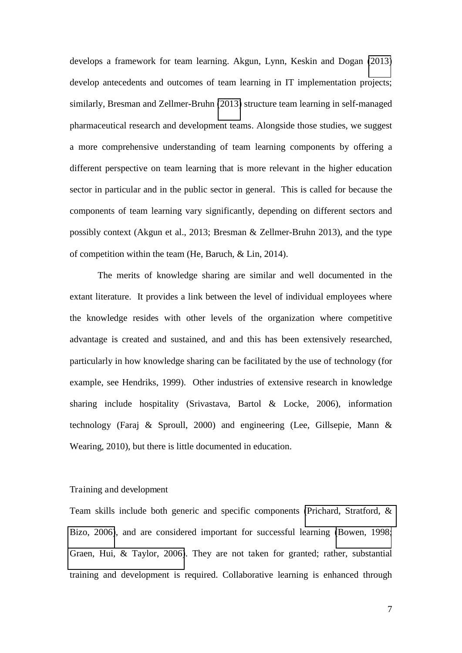develops a framework for team learning. Akgun, Lynn, Keskin and Dogan [\(2013\)](#page-24-3) develop antecedents and outcomes of team learning in IT implementation projects; similarly, Bresman and Zellmer-Bruhn [\(2013\)](#page-25-0) structure team learning in self-managed pharmaceutical research and development teams. Alongside those studies, we suggest a more comprehensive understanding of team learning components by offering a different perspective on team learning that is more relevant in the higher education sector in particular and in the public sector in general. This is called for because the components of team learning vary significantly, depending on different sectors and possibly context (Akgun et al., 2013; Bresman & Zellmer-Bruhn 2013), and the type of competition within the team (He, Baruch, & Lin, 2014).

 The merits of knowledge sharing are similar and well documented in the extant literature. It provides a link between the level of individual employees where the knowledge resides with other levels of the organization where competitive advantage is created and sustained, and and this has been extensively researched, particularly in how knowledge sharing can be facilitated by the use of technology (for example, see Hendriks, 1999). Other industries of extensive research in knowledge sharing include hospitality (Srivastava, Bartol & Locke, 2006), information technology (Faraj & Sproull, 2000) and engineering (Lee, Gillsepie, Mann & Wearing, 2010), but there is little documented in education.

#### Training and development

Team skills include both generic and specific components [\(Prichard, Stratford, &](#page-31-1)  [Bizo, 2006\)](#page-31-1), and are considered important for successful learning [\(Bowen, 1998;](#page-25-2) [Graen, Hui, & Taylor, 2006\)](#page-27-4). They are not taken for granted; rather, substantial training and development is required. Collaborative learning is enhanced through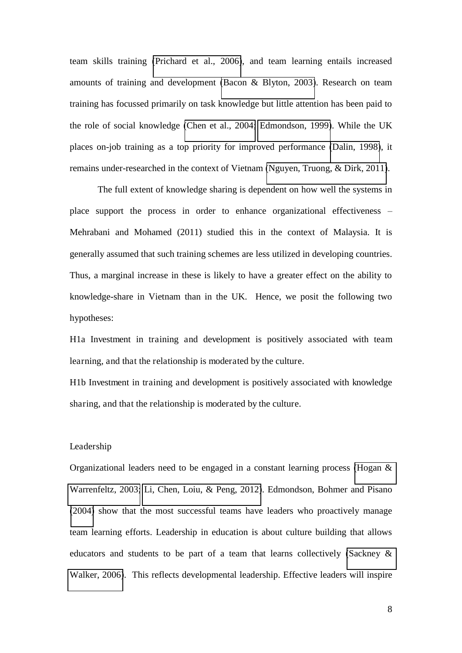team skills training [\(Prichard et al., 2006\)](#page-31-1), and team learning entails increased amounts of training and development [\(Bacon & Blyton, 2003\)](#page-24-0). Research on team training has focussed primarily on task knowledge but little attention has been paid to the role of social knowledge [\(Chen et al., 2004;](#page-26-1) [Edmondson, 1999\)](#page-26-4). While the UK places on-job training as a top priority for improved performance [\(Dalin, 1998\)](#page-26-5), it remains under-researched in the context of Vietnam [\(Nguyen, Truong, & Dirk, 2011\)](#page-30-5).

 The full extent of knowledge sharing is dependent on how well the systems in place support the process in order to enhance organizational effectiveness – Mehrabani and Mohamed (2011) studied this in the context of Malaysia. It is generally assumed that such training schemes are less utilized in developing countries. Thus, a marginal increase in these is likely to have a greater effect on the ability to knowledge-share in Vietnam than in the UK. Hence, we posit the following two hypotheses:

H1a Investment in training and development is positively associated with team learning, and that the relationship is moderated by the culture.

H1b Investment in training and development is positively associated with knowledge sharing, and that the relationship is moderated by the culture.

#### Leadership

Organizational leaders need to be engaged in a constant learning process [\(Hogan &](#page-28-5)  [Warrenfeltz, 2003;](#page-28-5) [Li, Chen, Loiu, & Peng, 2012\)](#page-29-3). Edmondson, Bohmer and Pisano [\(2004\)](#page-26-6) show that the most successful teams have leaders who proactively manage team learning efforts. Leadership in education is about culture building that allows educators and students to be part of a team that learns collectively [\(Sackney &](#page-32-6)  [Walker, 2006\)](#page-32-6). This reflects developmental leadership. Effective leaders will inspire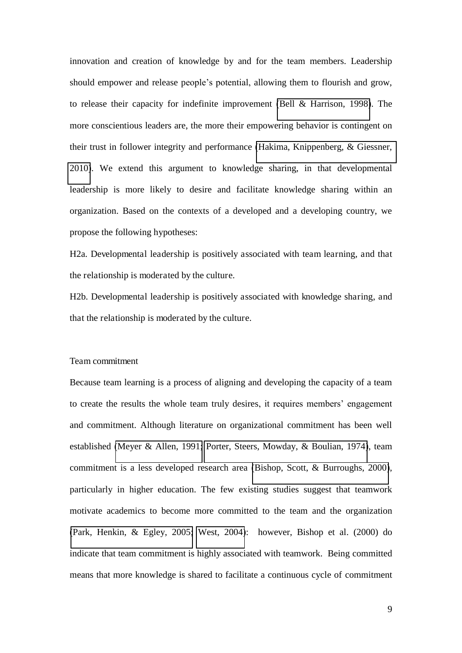innovation and creation of knowledge by and for the team members. Leadership should empower and release people's potential, allowing them to flourish and grow, to release their capacity for indefinite improvement [\(Bell & Harrison, 1998\)](#page-25-3). The more conscientious leaders are, the more their empowering behavior is contingent on their trust in follower integrity and performance [\(Hakima, Knippenberg, & Giessner,](#page-27-5)  [2010\)](#page-27-5). We extend this argument to knowledge sharing, in that developmental leadership is more likely to desire and facilitate knowledge sharing within an organization. Based on the contexts of a developed and a developing country, we propose the following hypotheses:

H2a. Developmental leadership is positively associated with team learning, and that the relationship is moderated by the culture.

H2b. Developmental leadership is positively associated with knowledge sharing, and that the relationship is moderated by the culture.

#### Team commitment

Because team learning is a process of aligning and developing the capacity of a team to create the results the whole team truly desires, it requires members' engagement and commitment. Although literature on organizational commitment has been well established [\(Meyer & Allen, 1991;](#page-30-6) [Porter, Steers, Mowday, & Boulian, 1974\)](#page-31-2), team commitment is a less developed research area [\(Bishop, Scott, & Burroughs, 2000\)](#page-25-4), particularly in higher education. The few existing studies suggest that teamwork motivate academics to become more committed to the team and the organization [\(Park, Henkin, & Egley, 2005;](#page-31-3) [West, 2004\)](#page-34-4): however, Bishop et al. (2000) do indicate that team commitment is highly associated with teamwork. Being committed means that more knowledge is shared to facilitate a continuous cycle of commitment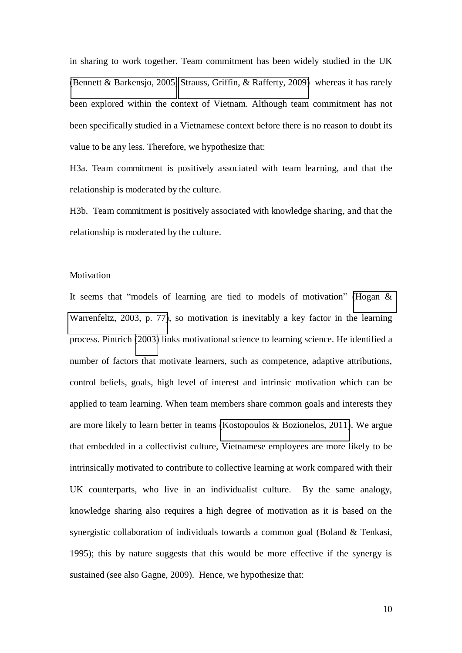in sharing to work together. Team commitment has been widely studied in the UK [\(Bennett & Barkensjo, 2005;](#page-25-5) [Strauss, Griffin, & Rafferty, 2009\)](#page-33-3) whereas it has rarely been explored within the context of Vietnam. Although team commitment has not been specifically studied in a Vietnamese context before there is no reason to doubt its value to be any less. Therefore, we hypothesize that:

H3a. Team commitment is positively associated with team learning, and that the relationship is moderated by the culture.

H3b. Team commitment is positively associated with knowledge sharing, and that the relationship is moderated by the culture.

#### Motivation

It seems that "models of learning are tied to models of motivation" [\(Hogan &](#page-28-5)  [Warrenfeltz, 2003, p. 77\)](#page-28-5), so motivation is inevitably a key factor in the learning process. Pintrich [\(2003\)](#page-31-4) links motivational science to learning science. He identified a number of factors that motivate learners, such as competence, adaptive attributions, control beliefs, goals, high level of interest and intrinsic motivation which can be applied to team learning. When team members share common goals and interests they are more likely to learn better in teams [\(Kostopoulos & Bozionelos, 2011\)](#page-29-0). We argue that embedded in a collectivist culture, Vietnamese employees are more likely to be intrinsically motivated to contribute to collective learning at work compared with their UK counterparts, who live in an individualist culture. By the same analogy, knowledge sharing also requires a high degree of motivation as it is based on the synergistic collaboration of individuals towards a common goal (Boland & Tenkasi, 1995); this by nature suggests that this would be more effective if the synergy is sustained (see also Gagne, 2009). Hence, we hypothesize that: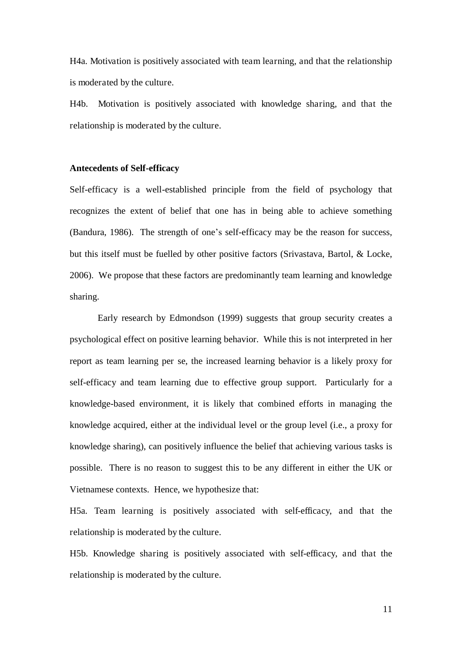H4a. Motivation is positively associated with team learning, and that the relationship is moderated by the culture.

H4b. Motivation is positively associated with knowledge sharing, and that the relationship is moderated by the culture.

#### **Antecedents of Self-efficacy**

Self-efficacy is a well-established principle from the field of psychology that recognizes the extent of belief that one has in being able to achieve something (Bandura, 1986). The strength of one's self-efficacy may be the reason for success, but this itself must be fuelled by other positive factors (Srivastava, Bartol, & Locke, 2006). We propose that these factors are predominantly team learning and knowledge sharing.

 Early research by Edmondson (1999) suggests that group security creates a psychological effect on positive learning behavior. While this is not interpreted in her report as team learning per se, the increased learning behavior is a likely proxy for self-efficacy and team learning due to effective group support. Particularly for a knowledge-based environment, it is likely that combined efforts in managing the knowledge acquired, either at the individual level or the group level (i.e., a proxy for knowledge sharing), can positively influence the belief that achieving various tasks is possible. There is no reason to suggest this to be any different in either the UK or Vietnamese contexts. Hence, we hypothesize that:

H5a. Team learning is positively associated with self-efficacy, and that the relationship is moderated by the culture.

H5b. Knowledge sharing is positively associated with self-efficacy, and that the relationship is moderated by the culture.

11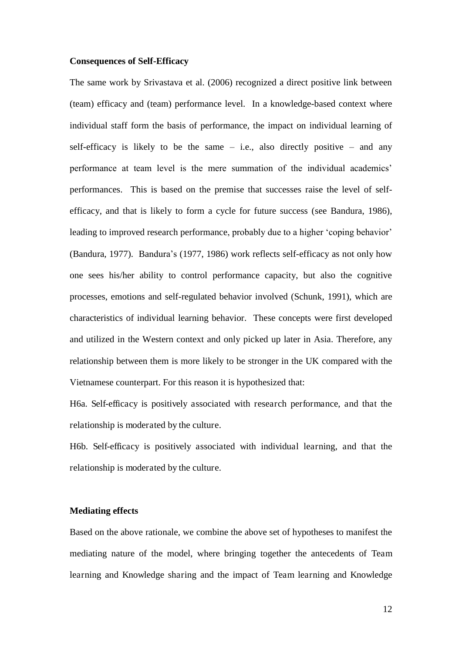#### **Consequences of Self-Efficacy**

The same work by Srivastava et al. (2006) recognized a direct positive link between (team) efficacy and (team) performance level. In a knowledge-based context where individual staff form the basis of performance, the impact on individual learning of self-efficacy is likely to be the same  $-$  i.e., also directly positive  $-$  and any performance at team level is the mere summation of the individual academics' performances. This is based on the premise that successes raise the level of selfefficacy, and that is likely to form a cycle for future success (see Bandura, 1986), leading to improved research performance, probably due to a higher 'coping behavior' (Bandura, 1977). Bandura's (1977, 1986) work reflects self-efficacy as not only how one sees his/her ability to control performance capacity, but also the cognitive processes, emotions and self-regulated behavior involved (Schunk, 1991), which are characteristics of individual learning behavior. These concepts were first developed and utilized in the Western context and only picked up later in Asia. Therefore, any relationship between them is more likely to be stronger in the UK compared with the Vietnamese counterpart. For this reason it is hypothesized that:

H6a. Self-efficacy is positively associated with research performance, and that the relationship is moderated by the culture.

H6b. Self-efficacy is positively associated with individual learning, and that the relationship is moderated by the culture.

#### **Mediating effects**

Based on the above rationale, we combine the above set of hypotheses to manifest the mediating nature of the model, where bringing together the antecedents of Team learning and Knowledge sharing and the impact of Team learning and Knowledge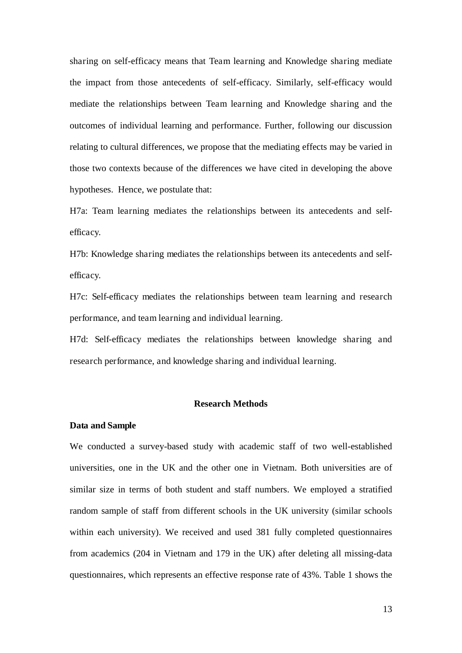sharing on self-efficacy means that Team learning and Knowledge sharing mediate the impact from those antecedents of self-efficacy. Similarly, self-efficacy would mediate the relationships between Team learning and Knowledge sharing and the outcomes of individual learning and performance. Further, following our discussion relating to cultural differences, we propose that the mediating effects may be varied in those two contexts because of the differences we have cited in developing the above hypotheses. Hence, we postulate that:

H7a: Team learning mediates the relationships between its antecedents and selfefficacy.

H7b: Knowledge sharing mediates the relationships between its antecedents and selfefficacy.

H7c: Self-efficacy mediates the relationships between team learning and research performance, and team learning and individual learning.

H7d: Self-efficacy mediates the relationships between knowledge sharing and research performance, and knowledge sharing and individual learning.

#### **Research Methods**

#### **Data and Sample**

We conducted a survey-based study with academic staff of two well-established universities, one in the UK and the other one in Vietnam. Both universities are of similar size in terms of both student and staff numbers. We employed a stratified random sample of staff from different schools in the UK university (similar schools within each university). We received and used 381 fully completed questionnaires from academics (204 in Vietnam and 179 in the UK) after deleting all missing-data questionnaires, which represents an effective response rate of 43%. Table 1 shows the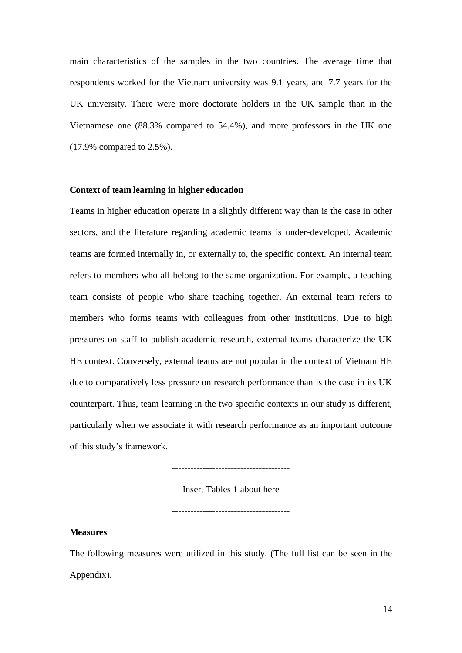main characteristics of the samples in the two countries. The average time that respondents worked for the Vietnam university was 9.1 years, and 7.7 years for the UK university. There were more doctorate holders in the UK sample than in the Vietnamese one (88.3% compared to 54.4%), and more professors in the UK one (17.9% compared to 2.5%).

#### **Context of team learning in higher education**

Teams in higher education operate in a slightly different way than is the case in other sectors, and the literature regarding academic teams is under-developed. Academic teams are formed internally in, or externally to, the specific context. An internal team refers to members who all belong to the same organization. For example, a teaching team consists of people who share teaching together. An external team refers to members who forms teams with colleagues from other institutions. Due to high pressures on staff to publish academic research, external teams characterize the UK HE context. Conversely, external teams are not popular in the context of Vietnam HE due to comparatively less pressure on research performance than is the case in its UK counterpart. Thus, team learning in the two specific contexts in our study is different, particularly when we associate it with research performance as an important outcome of this study's framework.

--------------------------------------

Insert Tables 1 about here

--------------------------------------

#### **Measures**

The following measures were utilized in this study. (The full list can be seen in the Appendix).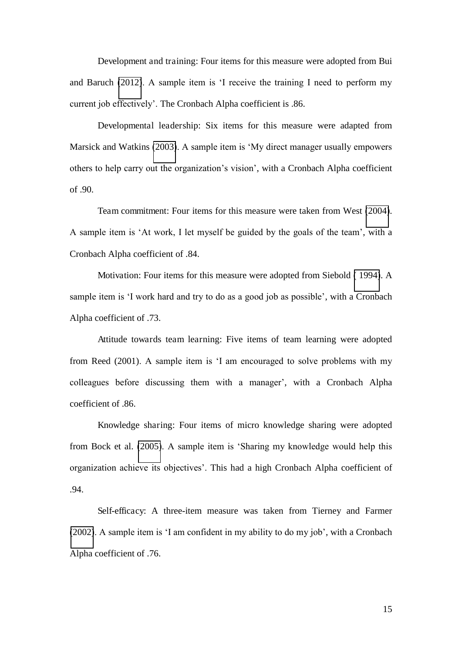Development and training: Four items for this measure were adopted from Bui and Baruch [\(2012\)](#page-26-7). A sample item is 'I receive the training I need to perform my current job effectively'. The Cronbach Alpha coefficient is .86.

Developmental leadership: Six items for this measure were adapted from Marsick and Watkins [\(2003\)](#page-30-7). A sample item is 'My direct manager usually empowers others to help carry out the organization's vision', with a Cronbach Alpha coefficient of .90.

Team commitment: Four items for this measure were taken from West [\(2004\)](#page-34-4). A sample item is 'At work, I let myself be guided by the goals of the team', with a Cronbach Alpha coefficient of .84.

Motivation: Four items for this measure were adopted from Siebold [\( 1994\)](#page-32-7). A sample item is 'I work hard and try to do as a good job as possible', with a Cronbach Alpha coefficient of .73.

Attitude towards team learning: Five items of team learning were adopted from Reed (2001). A sample item is 'I am encouraged to solve problems with my colleagues before discussing them with a manager', with a Cronbach Alpha coefficient of .86.

Knowledge sharing: Four items of micro knowledge sharing were adopted from Bock et al. [\(2005\)](#page-25-6). A sample item is 'Sharing my knowledge would help this organization achieve its objectives'. This had a high Cronbach Alpha coefficient of .94.

Self-efficacy: A three-item measure was taken from Tierney and Farmer [\(2002\)](#page-33-4). A sample item is 'I am confident in my ability to do my job', with a Cronbach Alpha coefficient of .76.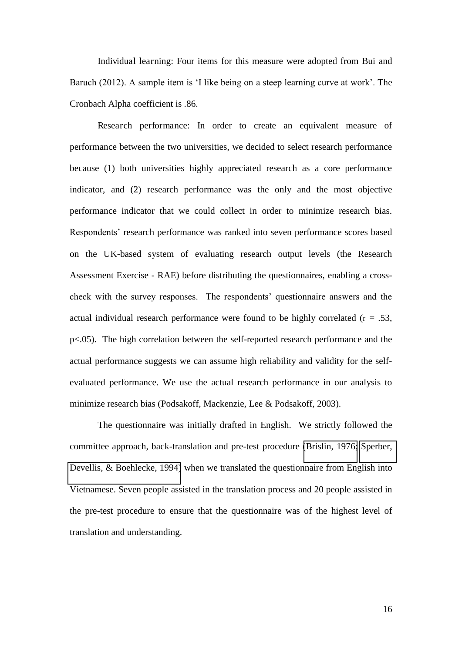Individual learning: Four items for this measure were adopted from Bui and Baruch (2012). A sample item is 'I like being on a steep learning curve at work'. The Cronbach Alpha coefficient is .86.

Research performance: In order to create an equivalent measure of performance between the two universities, we decided to select research performance because (1) both universities highly appreciated research as a core performance indicator, and (2) research performance was the only and the most objective performance indicator that we could collect in order to minimize research bias. Respondents' research performance was ranked into seven performance scores based on the UK-based system of evaluating research output levels (the Research Assessment Exercise - RAE) before distributing the questionnaires, enabling a crosscheck with the survey responses. The respondents' questionnaire answers and the actual individual research performance were found to be highly correlated  $(r = .53, )$ p<.05). The high correlation between the self-reported research performance and the actual performance suggests we can assume high reliability and validity for the selfevaluated performance. We use the actual research performance in our analysis to minimize research bias (Podsakoff, Mackenzie, Lee & Podsakoff, 2003).

The questionnaire was initially drafted in English. We strictly followed the committee approach, back-translation and pre-test procedure [\(Brislin, 1976;](#page-26-8) [Sperber,](#page-33-5)  [Devellis, & Boehlecke, 1994\)](#page-33-5) when we translated the questionnaire from English into Vietnamese. Seven people assisted in the translation process and 20 people assisted in the pre-test procedure to ensure that the questionnaire was of the highest level of translation and understanding.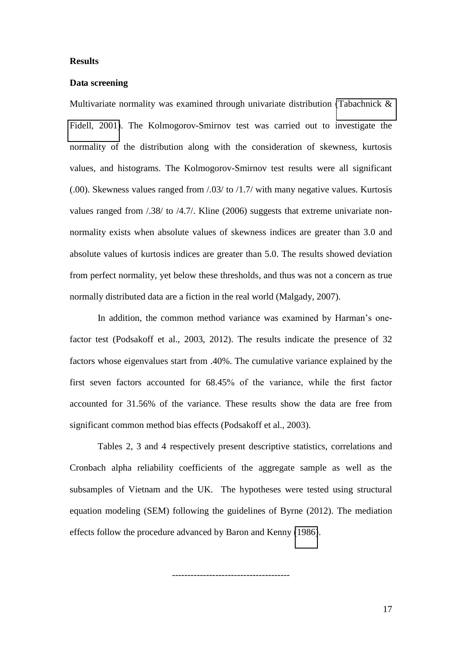#### **Results**

#### **Data screening**

Multivariate normality was examined through univariate distribution [\(Tabachnick &](#page-33-6)  [Fidell, 2001\)](#page-33-6). The Kolmogorov-Smirnov test was carried out to investigate the normality of the distribution along with the consideration of skewness, kurtosis values, and histograms. The Kolmogorov-Smirnov test results were all significant (.00). Skewness values ranged from /.03/ to /1.7/ with many negative values. Kurtosis values ranged from /.38/ to /4.7/. Kline (2006) suggests that extreme univariate nonnormality exists when absolute values of skewness indices are greater than 3.0 and absolute values of kurtosis indices are greater than 5.0. The results showed deviation from perfect normality, yet below these thresholds, and thus was not a concern as true normally distributed data are a fiction in the real world (Malgady, 2007).

In addition, the common method variance was examined by Harman's onefactor test (Podsakoff et al., 2003, 2012). The results indicate the presence of 32 factors whose eigenvalues start from .40%. The cumulative variance explained by the first seven factors accounted for 68.45% of the variance, while the first factor accounted for 31.56% of the variance. These results show the data are free from significant common method bias effects (Podsakoff et al., 2003).

Tables 2, 3 and 4 respectively present descriptive statistics, correlations and Cronbach alpha reliability coefficients of the aggregate sample as well as the subsamples of Vietnam and the UK. The hypotheses were tested using structural equation modeling (SEM) following the guidelines of Byrne (2012). The mediation effects follow the procedure advanced by Baron and Kenny [\(1986\)](#page-24-4).

--------------------------------------

17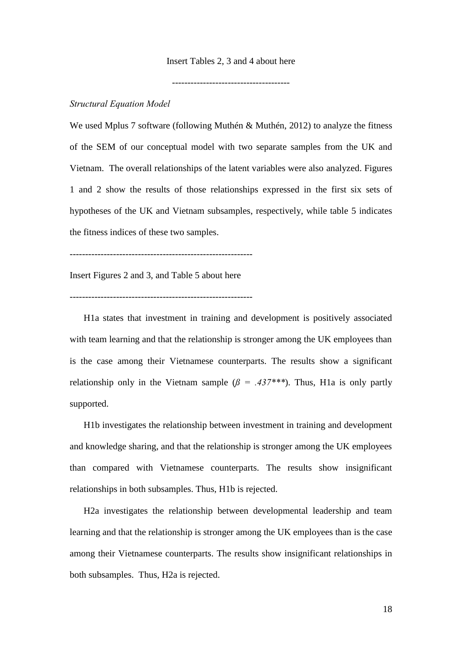#### Insert Tables 2, 3 and 4 about here

--------------------------------------

#### *Structural Equation Model*

We used Mplus 7 software (following Muthén & Muthén, 2012) to analyze the fitness of the SEM of our conceptual model with two separate samples from the UK and Vietnam. The overall relationships of the latent variables were also analyzed. Figures 1 and 2 show the results of those relationships expressed in the first six sets of hypotheses of the UK and Vietnam subsamples, respectively, while table 5 indicates the fitness indices of these two samples.

-----------------------------------------------------------

Insert Figures 2 and 3, and Table 5 about here

-----------------------------------------------------------

H1a states that investment in training and development is positively associated with team learning and that the relationship is stronger among the UK employees than is the case among their Vietnamese counterparts. The results show a significant relationship only in the Vietnam sample  $(\beta = .437***)$ . Thus, H<sub>1</sub>a is only partly supported.

H1b investigates the relationship between investment in training and development and knowledge sharing, and that the relationship is stronger among the UK employees than compared with Vietnamese counterparts. The results show insignificant relationships in both subsamples. Thus, H1b is rejected.

H2a investigates the relationship between developmental leadership and team learning and that the relationship is stronger among the UK employees than is the case among their Vietnamese counterparts. The results show insignificant relationships in both subsamples. Thus, H2a is rejected.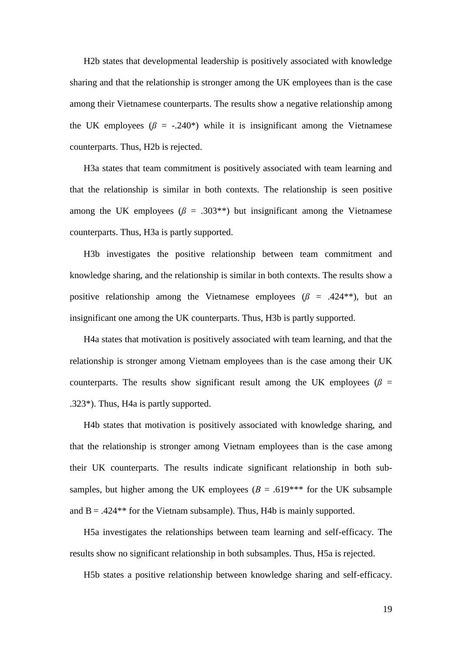H2b states that developmental leadership is positively associated with knowledge sharing and that the relationship is stronger among the UK employees than is the case among their Vietnamese counterparts. The results show a negative relationship among the UK employees  $(\beta = -.240^*)$  while it is insignificant among the Vietnamese counterparts. Thus, H2b is rejected.

H3a states that team commitment is positively associated with team learning and that the relationship is similar in both contexts. The relationship is seen positive among the UK employees  $(\beta = .303^{**})$  but insignificant among the Vietnamese counterparts. Thus, H3a is partly supported.

H3b investigates the positive relationship between team commitment and knowledge sharing, and the relationship is similar in both contexts. The results show a positive relationship among the Vietnamese employees  $(\beta = .424^{**})$ , but an insignificant one among the UK counterparts. Thus, H3b is partly supported.

H4a states that motivation is positively associated with team learning, and that the relationship is stronger among Vietnam employees than is the case among their UK counterparts. The results show significant result among the UK employees ( $\beta$  = .323\*). Thus, H4a is partly supported.

H4b states that motivation is positively associated with knowledge sharing, and that the relationship is stronger among Vietnam employees than is the case among their UK counterparts. The results indicate significant relationship in both subsamples, but higher among the UK employees ( $B = .619$ <sup>\*\*\*</sup> for the UK subsample and  $B = .424**$  for the Vietnam subsample). Thus, H4b is mainly supported.

H5a investigates the relationships between team learning and self-efficacy. The results show no significant relationship in both subsamples. Thus, H5a is rejected.

H5b states a positive relationship between knowledge sharing and self-efficacy.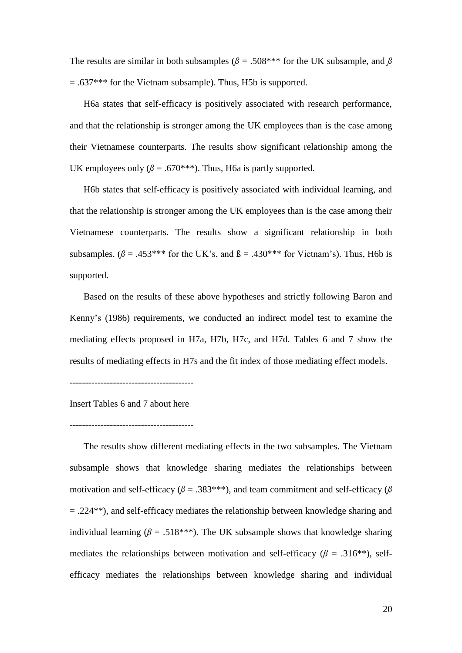The results are similar in both subsamples ( $\beta$  = .508<sup>\*\*\*</sup> for the UK subsample, and  $\beta$  $= .637$ <sup>\*\*\*</sup> for the Vietnam subsample). Thus, H5b is supported.

H6a states that self-efficacy is positively associated with research performance, and that the relationship is stronger among the UK employees than is the case among their Vietnamese counterparts. The results show significant relationship among the UK employees only  $(\beta = .670^{***})$ . Thus, H6a is partly supported.

H6b states that self-efficacy is positively associated with individual learning, and that the relationship is stronger among the UK employees than is the case among their Vietnamese counterparts. The results show a significant relationship in both subsamples. ( $\beta$  = .453\*\*\* for the UK's, and  $\beta$  = .430\*\*\* for Vietnam's). Thus, H6b is supported.

Based on the results of these above hypotheses and strictly following Baron and Kenny's (1986) requirements, we conducted an indirect model test to examine the mediating effects proposed in H7a, H7b, H7c, and H7d. Tables 6 and 7 show the results of mediating effects in H7s and the fit index of those mediating effect models.

Insert Tables 6 and 7 about here

----------------------------------------

The results show different mediating effects in the two subsamples. The Vietnam subsample shows that knowledge sharing mediates the relationships between motivation and self-efficacy ( $\beta$  = .383\*\*\*), and team commitment and self-efficacy ( $\beta$  $= .224$ <sup>\*\*</sup>), and self-efficacy mediates the relationship between knowledge sharing and individual learning ( $\beta$  = .518\*\*\*). The UK subsample shows that knowledge sharing mediates the relationships between motivation and self-efficacy ( $\beta$  = .316<sup>\*\*</sup>), selfefficacy mediates the relationships between knowledge sharing and individual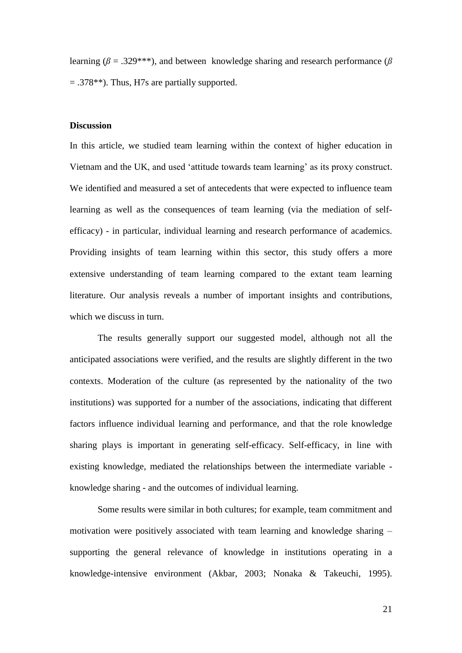learning ( $\beta$  = .329<sup>\*\*\*</sup>), and between knowledge sharing and research performance ( $\beta$  $= .378$ <sup>\*\*</sup>). Thus, H7s are partially supported.

#### **Discussion**

In this article, we studied team learning within the context of higher education in Vietnam and the UK, and used 'attitude towards team learning' as its proxy construct. We identified and measured a set of antecedents that were expected to influence team learning as well as the consequences of team learning (via the mediation of selfefficacy) - in particular, individual learning and research performance of academics. Providing insights of team learning within this sector, this study offers a more extensive understanding of team learning compared to the extant team learning literature. Our analysis reveals a number of important insights and contributions, which we discuss in turn.

The results generally support our suggested model, although not all the anticipated associations were verified, and the results are slightly different in the two contexts. Moderation of the culture (as represented by the nationality of the two institutions) was supported for a number of the associations, indicating that different factors influence individual learning and performance, and that the role knowledge sharing plays is important in generating self-efficacy. Self-efficacy, in line with existing knowledge, mediated the relationships between the intermediate variable knowledge sharing - and the outcomes of individual learning.

Some results were similar in both cultures; for example, team commitment and motivation were positively associated with team learning and knowledge sharing – supporting the general relevance of knowledge in institutions operating in a knowledge-intensive environment (Akbar, 2003; Nonaka & Takeuchi, 1995).

21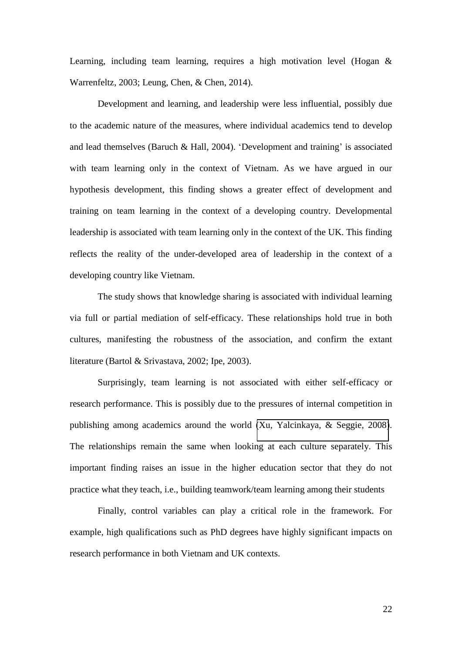Learning, including team learning, requires a high motivation level (Hogan & Warrenfeltz, 2003; Leung, Chen, & Chen, 2014).

Development and learning, and leadership were less influential, possibly due to the academic nature of the measures, where individual academics tend to develop and lead themselves (Baruch & Hall, 2004). 'Development and training' is associated with team learning only in the context of Vietnam. As we have argued in our hypothesis development, this finding shows a greater effect of development and training on team learning in the context of a developing country. Developmental leadership is associated with team learning only in the context of the UK. This finding reflects the reality of the under-developed area of leadership in the context of a developing country like Vietnam.

The study shows that knowledge sharing is associated with individual learning via full or partial mediation of self-efficacy. These relationships hold true in both cultures, manifesting the robustness of the association, and confirm the extant literature (Bartol & Srivastava, 2002; Ipe, 2003).

Surprisingly, team learning is not associated with either self-efficacy or research performance. This is possibly due to the pressures of internal competition in publishing among academics around the world [\(Xu, Yalcinkaya, & Seggie, 2008\)](#page-34-5). The relationships remain the same when looking at each culture separately. This important finding raises an issue in the higher education sector that they do not practice what they teach, i.e., building teamwork/team learning among their students

Finally, control variables can play a critical role in the framework. For example, high qualifications such as PhD degrees have highly significant impacts on research performance in both Vietnam and UK contexts.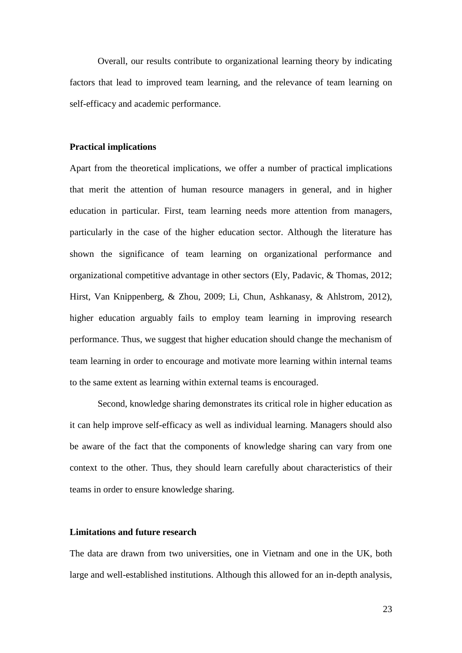Overall, our results contribute to organizational learning theory by indicating factors that lead to improved team learning, and the relevance of team learning on self-efficacy and academic performance.

#### **Practical implications**

Apart from the theoretical implications, we offer a number of practical implications that merit the attention of human resource managers in general, and in higher education in particular. First, team learning needs more attention from managers, particularly in the case of the higher education sector. Although the literature has shown the significance of team learning on organizational performance and organizational competitive advantage in other sectors (Ely, Padavic, & Thomas, 2012; Hirst, Van Knippenberg, & Zhou, 2009; Li, Chun, Ashkanasy, & Ahlstrom, 2012), higher education arguably fails to employ team learning in improving research performance. Thus, we suggest that higher education should change the mechanism of team learning in order to encourage and motivate more learning within internal teams to the same extent as learning within external teams is encouraged.

 Second, knowledge sharing demonstrates its critical role in higher education as it can help improve self-efficacy as well as individual learning. Managers should also be aware of the fact that the components of knowledge sharing can vary from one context to the other. Thus, they should learn carefully about characteristics of their teams in order to ensure knowledge sharing.

#### **Limitations and future research**

The data are drawn from two universities, one in Vietnam and one in the UK, both large and well-established institutions. Although this allowed for an in-depth analysis,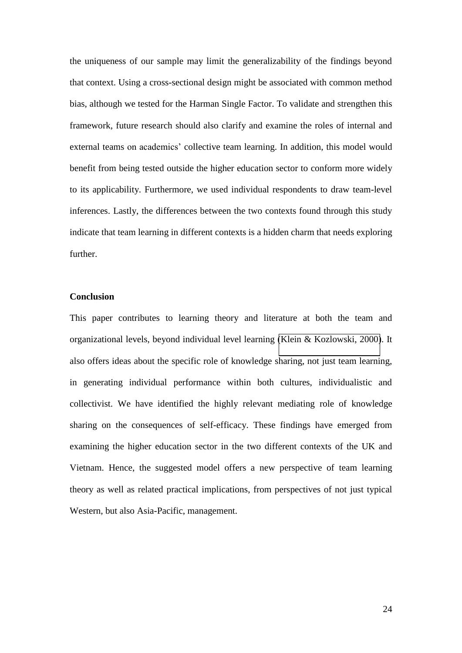<span id="page-24-2"></span>the uniqueness of our sample may limit the generalizability of the findings beyond that context. Using a cross-sectional design might be associated with common method bias, although we tested for the Harman Single Factor. To validate and strengthen this framework, future research should also clarify and examine the roles of internal and external teams on academics' collective team learning. In addition, this model would benefit from being tested outside the higher education sector to conform more widely to its applicability. Furthermore, we used individual respondents to draw team-level inferences. Lastly, the differences between the two contexts found through this study indicate that team learning in different contexts is a hidden charm that needs exploring further.

#### <span id="page-24-3"></span><span id="page-24-1"></span>**Conclusion**

<span id="page-24-4"></span><span id="page-24-0"></span>This paper contributes to learning theory and literature at both the team and organizational levels, beyond individual level learning [\(Klein & Kozlowski, 2000\)](#page-29-4). It also offers ideas about the specific role of knowledge sharing, not just team learning, in generating individual performance within both cultures, individualistic and collectivist. We have identified the highly relevant mediating role of knowledge sharing on the consequences of self-efficacy. These findings have emerged from examining the higher education sector in the two different contexts of the UK and Vietnam. Hence, the suggested model offers a new perspective of team learning theory as well as related practical implications, from perspectives of not just typical Western, but also Asia-Pacific, management.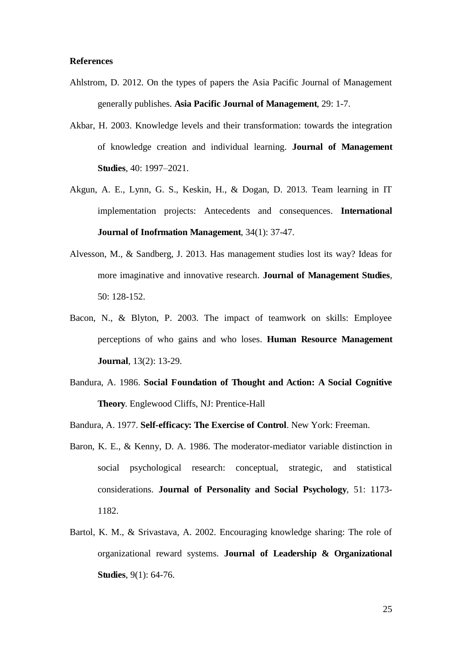#### <span id="page-25-1"></span>**References**

- Ahlstrom, D. 2012. On the types of papers the Asia Pacific Journal of Management generally publishes. **Asia Pacific Journal of Management**, 29: 1-7.
- <span id="page-25-3"></span>Akbar, H. 2003. Knowledge levels and their transformation: towards the integration of knowledge creation and individual learning. **Journal of Management Studies**, 40: 1997–2021.
- <span id="page-25-5"></span>Akgun, A. E., Lynn, G. S., Keskin, H., & Dogan, D. 2013. Team learning in IT implementation projects: Antecedents and consequences. **International Journal of Inofrmation Management**, 34(1): 37-47.
- <span id="page-25-4"></span>Alvesson, M., & Sandberg, J. 2013. Has management studies lost its way? Ideas for more imaginative and innovative research. **Journal of Management Studies**, 50: 128-152.
- <span id="page-25-6"></span>Bacon, N., & Blyton, P. 2003. The impact of teamwork on skills: Employee perceptions of who gains and who loses. **Human Resource Management Journal**, 13(2): 13-29.
- Bandura, A. 1986. **Social Foundation of Thought and Action: A Social Cognitive Theory**. Englewood Cliffs, NJ: Prentice-Hall
- Bandura, A. 1977. **Self-efficacy: The Exercise of Control**. New York: Freeman.
- <span id="page-25-2"></span>Baron, K. E., & Kenny, D. A. 1986. The moderator-mediator variable distinction in social psychological research: conceptual, strategic, and statistical considerations. **Journal of Personality and Social Psychology**, 51: 1173- 1182.
- <span id="page-25-0"></span>Bartol, K. M., & Srivastava, A. 2002. Encouraging knowledge sharing: The role of organizational reward systems. **Journal of Leadership & Organizational Studies**, 9(1): 64-76.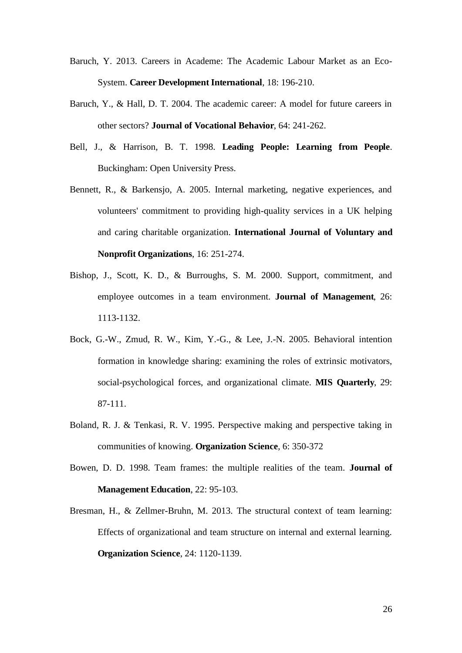- <span id="page-26-8"></span>Baruch, Y. 2013. Careers in Academe: The Academic Labour Market as an Eco-System. **Career Development International**, 18: 196-210.
- <span id="page-26-7"></span>Baruch, Y., & Hall, D. T. 2004. The academic career: A model for future careers in other sectors? **Journal of Vocational Behavior**, 64: 241-262.
- Bell, J., & Harrison, B. T. 1998. **Leading People: Learning from People**. Buckingham: Open University Press.
- <span id="page-26-1"></span>Bennett, R., & Barkensjo, A. 2005. Internal marketing, negative experiences, and volunteers' commitment to providing high-quality services in a UK helping and caring charitable organization. **International Journal of Voluntary and Nonprofit Organizations**, 16: 251-274.
- <span id="page-26-3"></span>Bishop, J., Scott, K. D., & Burroughs, S. M. 2000. Support, commitment, and employee outcomes in a team environment. **Journal of Management**, 26: 1113-1132.
- <span id="page-26-5"></span><span id="page-26-2"></span>Bock, G.-W., Zmud, R. W., Kim, Y.-G., & Lee, J.-N. 2005. Behavioral intention formation in knowledge sharing: examining the roles of extrinsic motivators, social-psychological forces, and organizational climate. **MIS Quarterly**, 29: 87-111.
- <span id="page-26-4"></span><span id="page-26-0"></span>Boland, R. J. & Tenkasi, R. V. 1995. Perspective making and perspective taking in communities of knowing. **Organization Science**, 6: 350-372
- <span id="page-26-6"></span>Bowen, D. D. 1998. Team frames: the multiple realities of the team. **Journal of Management Education**, 22: 95-103.
- Bresman, H., & Zellmer-Bruhn, M. 2013. The structural context of team learning: Effects of organizational and team structure on internal and external learning. **Organization Science**, 24: 1120-1139.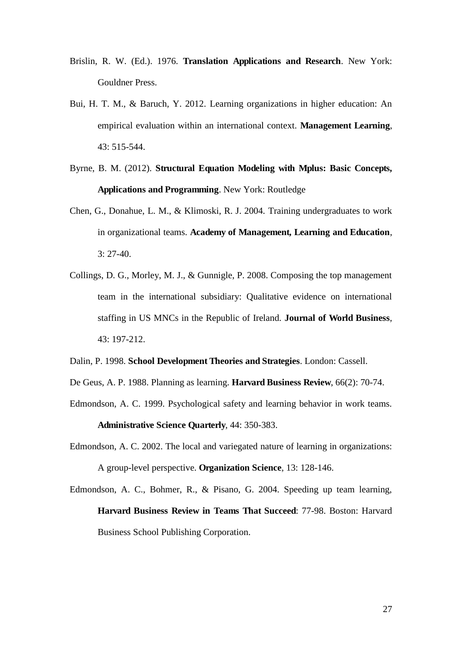- <span id="page-27-2"></span>Brislin, R. W. (Ed.). 1976. **Translation Applications and Research**. New York: Gouldner Press.
- <span id="page-27-0"></span>Bui, H. T. M., & Baruch, Y. 2012. Learning organizations in higher education: An empirical evaluation within an international context. **Management Learning**, 43: 515-544.
- Byrne, B. M. (2012). **Structural Equation Modeling with Mplus: Basic Concepts, Applications and Programming**. New York: Routledge
- Chen, G., Donahue, L. M., & Klimoski, R. J. 2004. Training undergraduates to work in organizational teams. **Academy of Management, Learning and Education**, 3: 27-40.
- <span id="page-27-4"></span>Collings, D. G., Morley, M. J., & Gunnigle, P. 2008. Composing the top management team in the international subsidiary: Qualitative evidence on international staffing in US MNCs in the Republic of Ireland. **Journal of World Business**, 43: 197-212.
- Dalin, P. 1998. **School Development Theories and Strategies**. London: Cassell.
- <span id="page-27-5"></span>De Geus, A. P. 1988. Planning as learning. **Harvard Business Review**, 66(2): 70-74.
- Edmondson, A. C. 1999. Psychological safety and learning behavior in work teams. **Administrative Science Quarterly**, 44: 350-383.
- <span id="page-27-3"></span>Edmondson, A. C. 2002. The local and variegated nature of learning in organizations: A group-level perspective. **Organization Science**, 13: 128-146.
- <span id="page-27-1"></span>Edmondson, A. C., Bohmer, R., & Pisano, G. 2004. Speeding up team learning, **Harvard Business Review in Teams That Succeed**: 77-98. Boston: Harvard Business School Publishing Corporation.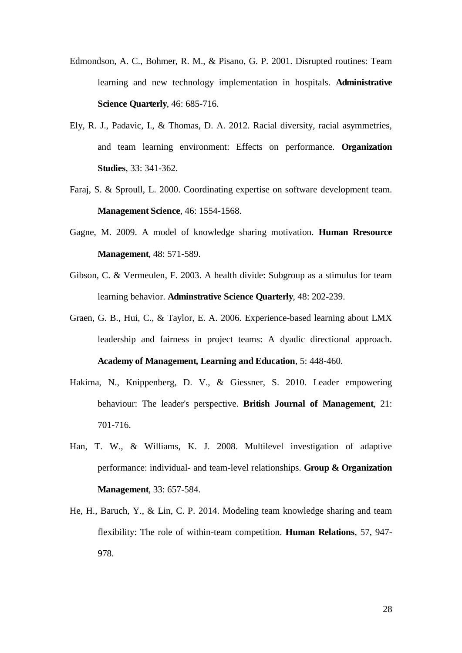- Edmondson, A. C., Bohmer, R. M., & Pisano, G. P. 2001. Disrupted routines: Team learning and new technology implementation in hospitals. **Administrative Science Quarterly**, 46: 685-716.
- Ely, R. J., Padavic, I., & Thomas, D. A. 2012. Racial diversity, racial asymmetries, and team learning environment: Effects on performance. **Organization Studies**, 33: 341-362.
- <span id="page-28-4"></span><span id="page-28-2"></span>Faraj, S. & Sproull, L. 2000. Coordinating expertise on software development team. **Management Science**, 46: 1554-1568.
- <span id="page-28-5"></span>Gagne, M. 2009. A model of knowledge sharing motivation. **Human Rresource Management**, 48: 571-589.
- <span id="page-28-3"></span>Gibson, C. & Vermeulen, F. 2003. A health divide: Subgroup as a stimulus for team learning behavior. **Adminstrative Science Quarterly**, 48: 202-239.
- Graen, G. B., Hui, C., & Taylor, E. A. 2006. Experience-based learning about LMX leadership and fairness in project teams: A dyadic directional approach. **Academy of Management, Learning and Education**, 5: 448-460.
- Hakima, N., Knippenberg, D. V., & Giessner, S. 2010. Leader empowering behaviour: The leader's perspective. **British Journal of Management**, 21: 701-716.
- <span id="page-28-1"></span>Han, T. W., & Williams, K. J. 2008. Multilevel investigation of adaptive performance: individual- and team-level relationships. **Group & Organization Management**, 33: 657-584.
- <span id="page-28-0"></span>He, H., Baruch, Y., & Lin, C. P. 2014. Modeling team knowledge sharing and team flexibility: The role of within-team competition. **Human Relations**, 57, 947- 978.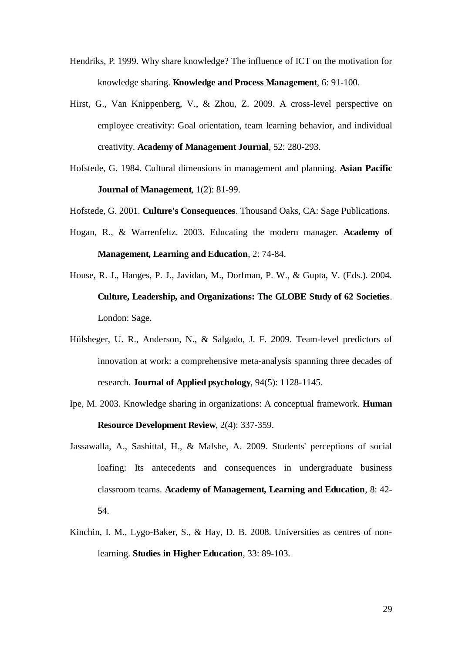- <span id="page-29-4"></span>Hendriks, P. 1999. Why share knowledge? The influence of ICT on the motivation for knowledge sharing. **Knowledge and Process Management**, 6: 91-100.
- Hirst, G., Van Knippenberg, V., & Zhou, Z. 2009. A cross-level perspective on employee creativity: Goal orientation, team learning behavior, and individual creativity. **Academy of Management Journal**, 52: 280-293.
- <span id="page-29-0"></span>Hofstede, G. 1984. Cultural dimensions in management and planning. **Asian Pacific Journal of Management**, 1(2): 81-99.
- Hofstede, G. 2001. **Culture's Consequences**. Thousand Oaks, CA: Sage Publications.
- <span id="page-29-1"></span>Hogan, R., & Warrenfeltz. 2003. Educating the modern manager. **Academy of Management, Learning and Education**, 2: 74-84.
- House, R. J., Hanges, P. J., Javidan, M., Dorfman, P. W., & Gupta, V. (Eds.). 2004. **Culture, Leadership, and Organizations: The GLOBE Study of 62 Societies**. London: Sage.
- Hülsheger, U. R., Anderson, N., & Salgado, J. F. 2009. Team-level predictors of innovation at work: a comprehensive meta-analysis spanning three decades of research. **Journal of Applied psychology**, 94(5): 1128-1145.
- <span id="page-29-3"></span>Ipe, M. 2003. Knowledge sharing in organizations: A conceptual framework. **Human Resource Development Review**, 2(4): 337-359.
- <span id="page-29-2"></span>Jassawalla, A., Sashittal, H., & Malshe, A. 2009. Students' perceptions of social loafing: Its antecedents and consequences in undergraduate business classroom teams. **Academy of Management, Learning and Education**, 8: 42- 54.
- Kinchin, I. M., Lygo-Baker, S., & Hay, D. B. 2008. Universities as centres of nonlearning. **Studies in Higher Education**, 33: 89-103.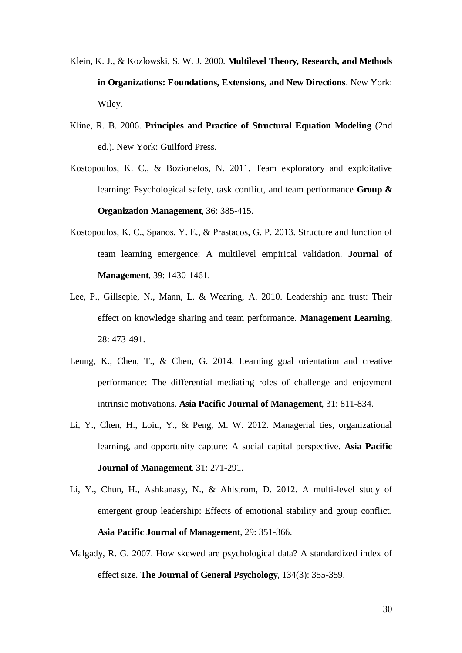- <span id="page-30-7"></span>Klein, K. J., & Kozlowski, S. W. J. 2000. **Multilevel Theory, Research, and Methods in Organizations: Foundations, Extensions, and New Directions**. New York: Wiley.
- <span id="page-30-6"></span>Kline, R. B. 2006. **Principles and Practice of Structural Equation Modeling** (2nd ed.). New York: Guilford Press.
- <span id="page-30-2"></span>Kostopoulos, K. C., & Bozionelos, N. 2011. Team exploratory and exploitative learning: Psychological safety, task conflict, and team performance **Group & Organization Management**, 36: 385-415.
- <span id="page-30-4"></span>Kostopoulos, K. C., Spanos, Y. E., & Prastacos, G. P. 2013. Structure and function of team learning emergence: A multilevel empirical validation. **Journal of Management**, 39: 1430-1461.
- Lee, P., Gillsepie, N., Mann, L. & Wearing, A. 2010. Leadership and trust: Their effect on knowledge sharing and team performance. **Management Learning**, 28: 473-491.
- <span id="page-30-5"></span>Leung, K., Chen, T., & Chen, G. 2014. Learning goal orientation and creative performance: The differential mediating roles of challenge and enjoyment intrinsic motivations. **Asia Pacific Journal of Management**, 31: 811-834.
- <span id="page-30-1"></span>Li, Y., Chen, H., Loiu, Y., & Peng, M. W. 2012. Managerial ties, organizational learning, and opportunity capture: A social capital perspective. **Asia Pacific Journal of Management**. 31: 271-291.
- <span id="page-30-0"></span>Li, Y., Chun, H., Ashkanasy, N., & Ahlstrom, D. 2012. A multi-level study of emergent group leadership: Effects of emotional stability and group conflict. **Asia Pacific Journal of Management**, 29: 351-366.
- <span id="page-30-3"></span>Malgady, R. G. 2007. How skewed are psychological data? A standardized index of effect size. **The Journal of General Psychology**, 134(3): 355-359.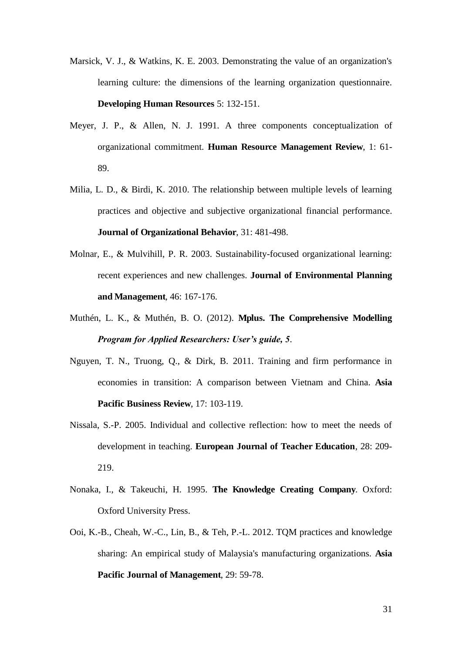- <span id="page-31-3"></span>Marsick, V. J., & Watkins, K. E. 2003. Demonstrating the value of an organization's learning culture: the dimensions of the learning organization questionnaire. **Developing Human Resources** 5: 132-151.
- Meyer, J. P., & Allen, N. J. 1991. A three components conceptualization of organizational commitment. **Human Resource Management Review**, 1: 61- 89.
- <span id="page-31-4"></span>Milia, L. D., & Birdi, K. 2010. The relationship between multiple levels of learning practices and objective and subjective organizational financial performance. **Journal of Organizational Behavior**, 31: 481-498.
- Molnar, E., & Mulvihill, P. R. 2003. Sustainability-focused organizational learning: recent experiences and new challenges. **Journal of Environmental Planning and Management**, 46: 167-176.
- Muthén, L. K., & Muthén, B. O. (2012). **Mplus. The Comprehensive Modelling**  *Program for Applied Researchers: User's guide, 5*.
- <span id="page-31-2"></span>Nguyen, T. N., Truong, Q., & Dirk, B. 2011. Training and firm performance in economies in transition: A comparison between Vietnam and China. **Asia Pacific Business Review**, 17: 103-119.
- <span id="page-31-0"></span>Nissala, S.-P. 2005. Individual and collective reflection: how to meet the needs of development in teaching. **European Journal of Teacher Education**, 28: 209- 219.
- <span id="page-31-1"></span>Nonaka, I., & Takeuchi, H. 1995. **The Knowledge Creating Company**. Oxford: Oxford University Press.
- Ooi, K.-B., Cheah, W.-C., Lin, B., & Teh, P.-L. 2012. TQM practices and knowledge sharing: An empirical study of Malaysia's manufacturing organizations. **Asia Pacific Journal of Management**, 29: 59-78.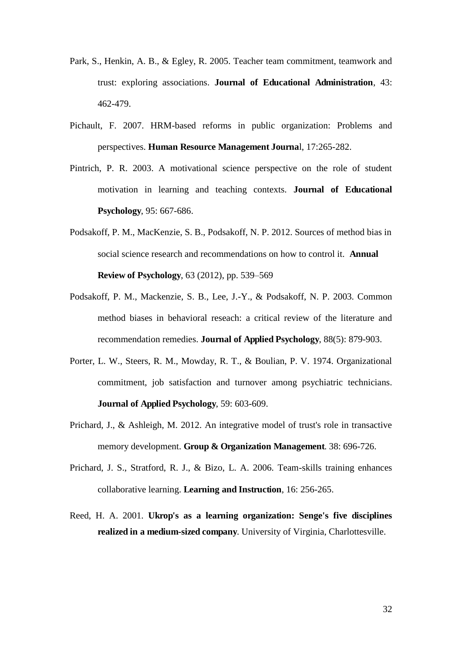- <span id="page-32-2"></span>Park, S., Henkin, A. B., & Egley, R. 2005. Teacher team commitment, teamwork and trust: exploring associations. **Journal of Educational Administration**, 43: 462-479.
- <span id="page-32-3"></span>Pichault, F. 2007. HRM-based reforms in public organization: Problems and perspectives. **Human Resource Management Journa**l, 17:265-282.
- <span id="page-32-6"></span>Pintrich, P. R. 2003. A motivational science perspective on the role of student motivation in learning and teaching contexts. **Journal of Educational Psychology**, 95: 667-686.
- Podsakoff, P. M., MacKenzie, S. B., Podsakoff, N. P. 2012. Sources of method bias in social science research and recommendations on how to control it. **Annual Review of Psychology**, 63 (2012), pp. 539–569
- <span id="page-32-4"></span>Podsakoff, P. M., Mackenzie, S. B., Lee, J.-Y., & Podsakoff, N. P. 2003. Common method biases in behavioral reseach: a critical review of the literature and recommendation remedies. **Journal of Applied Psychology**, 88(5): 879-903.
- <span id="page-32-1"></span><span id="page-32-0"></span>Porter, L. W., Steers, R. M., Mowday, R. T., & Boulian, P. V. 1974. Organizational commitment, job satisfaction and turnover among psychiatric technicians. **Journal of Applied Psychology**, 59: 603-609.
- <span id="page-32-7"></span>Prichard, J., & Ashleigh, M. 2012. An integrative model of trust's role in transactive memory development. **Group & Organization Management**. 38: 696-726.
- Prichard, J. S., Stratford, R. J., & Bizo, L. A. 2006. Team-skills training enhances collaborative learning. **Learning and Instruction**, 16: 256-265.
- <span id="page-32-5"></span>Reed, H. A. 2001. **Ukrop's as a learning organization: Senge's five disciplines realized in a medium-sized company**. University of Virginia, Charlottesville.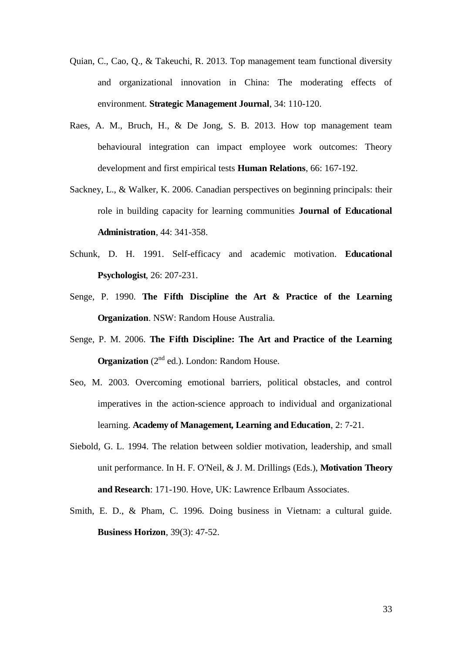- <span id="page-33-5"></span>Quian, C., Cao, Q., & Takeuchi, R. 2013. Top management team functional diversity and organizational innovation in China: The moderating effects of environment. **Strategic Management Journal**, 34: 110-120.
- Raes, A. M., Bruch, H., & De Jong, S. B. 2013. How top management team behavioural integration can impact employee work outcomes: Theory development and first empirical tests **Human Relations**, 66: 167-192.
- <span id="page-33-3"></span>Sackney, L., & Walker, K. 2006. Canadian perspectives on beginning principals: their role in building capacity for learning communities **Journal of Educational Administration**, 44: 341-358.
- <span id="page-33-6"></span>Schunk, D. H. 1991. Self-efficacy and academic motivation. **Educational Psychologist**, 26: 207-231.
- <span id="page-33-0"></span>Senge, P. 1990. **The Fifth Discipline the Art & Practice of the Learning Organization**. NSW: Random House Australia.
- <span id="page-33-2"></span>Senge, P. M. 2006. **The Fifth Discipline: The Art and Practice of the Learning Organization** (2<sup>nd</sup> ed.). London: Random House.
- Seo, M. 2003. Overcoming emotional barriers, political obstacles, and control imperatives in the action-science approach to individual and organizational learning. **Academy of Management, Learning and Education**, 2: 7-21.
- <span id="page-33-4"></span>Siebold, G. L. 1994. The relation between soldier motivation, leadership, and small unit performance. In H. F. O'Neil, & J. M. Drillings (Eds.), **Motivation Theory and Research**: 171-190. Hove, UK: Lawrence Erlbaum Associates.
- <span id="page-33-1"></span>Smith, E. D., & Pham, C. 1996. Doing business in Vietnam: a cultural guide. **Business Horizon**, 39(3): 47-52.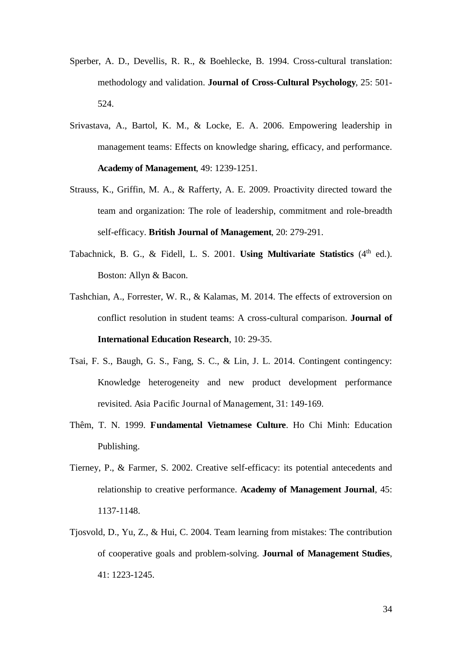- <span id="page-34-2"></span>Sperber, A. D., Devellis, R. R., & Boehlecke, B. 1994. Cross-cultural translation: methodology and validation. **Journal of Cross-Cultural Psychology**, 25: 501- 524.
- <span id="page-34-4"></span><span id="page-34-3"></span>Srivastava, A., Bartol, K. M., & Locke, E. A. 2006. Empowering leadership in management teams: Effects on knowledge sharing, efficacy, and performance. **Academy of Management**, 49: 1239-1251.
- Strauss, K., Griffin, M. A., & Rafferty, A. E. 2009. Proactivity directed toward the team and organization: The role of leadership, commitment and role-breadth self-efficacy. **British Journal of Management**, 20: 279-291.
- Tabachnick, B. G., & Fidell, L. S. 2001. **Using Multivariate Statistics** (4<sup>th</sup> ed.). Boston: Allyn & Bacon.
- <span id="page-34-0"></span>Tashchian, A., Forrester, W. R., & Kalamas, M. 2014. The effects of extroversion on conflict resolution in student teams: A cross-cultural comparison. **Journal of International Education Research**, 10: 29-35.
- <span id="page-34-5"></span>Tsai, F. S., Baugh, G. S., Fang, S. C., & Lin, J. L. 2014. Contingent contingency: Knowledge heterogeneity and new product development performance revisited. Asia Pacific Journal of Management, 31: 149-169.
- <span id="page-34-1"></span>Thêm, T. N. 1999. **Fundamental Vietnamese Culture**. Ho Chi Minh: Education Publishing.
- Tierney, P., & Farmer, S. 2002. Creative self-efficacy: its potential antecedents and relationship to creative performance. **Academy of Management Journal**, 45: 1137-1148.
- Tjosvold, D., Yu, Z., & Hui, C. 2004. Team learning from mistakes: The contribution of cooperative goals and problem-solving. **Journal of Management Studies**, 41: 1223-1245.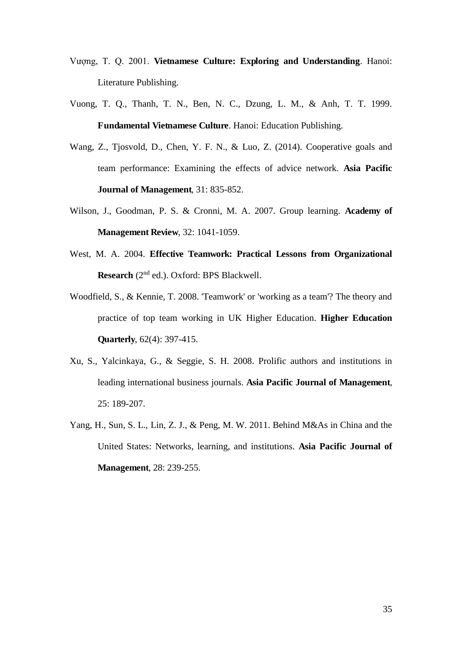- Vuong, T. Q. 2001. **Vietnamese Culture: Exploring and Understanding**. Hanoi: Literature Publishing.
- Vuong, T. Q., Thanh, T. N., Ben, N. C., Dzung, L. M., & Anh, T. T. 1999. **Fundamental Vietnamese Culture**. Hanoi: Education Publishing.
- Wang, Z., Tjosvold, D., Chen, Y. F. N., & Luo, Z. (2014). Cooperative goals and team performance: Examining the effects of advice network. **Asia Pacific Journal of Management**, 31: 835-852.
- Wilson, J., Goodman, P. S. & Cronni, M. A. 2007. Group learning. **Academy of Management Review**, 32: 1041-1059.
- West, M. A. 2004. **Effective Teamwork: Practical Lessons from Organizational Research** (2nd ed.). Oxford: BPS Blackwell.
- Woodfield, S., & Kennie, T. 2008. 'Teamwork' or 'working as a team'? The theory and practice of top team working in UK Higher Education. **Higher Education Quarterly**, 62(4): 397-415.
- Xu, S., Yalcinkaya, G., & Seggie, S. H. 2008. Prolific authors and institutions in leading international business journals. **Asia Pacific Journal of Management**, 25: 189-207.
- Yang, H., Sun, S. L., Lin, Z. J., & Peng, M. W. 2011. Behind M&As in China and the United States: Networks, learning, and institutions. **Asia Pacific Journal of Management**, 28: 239-255.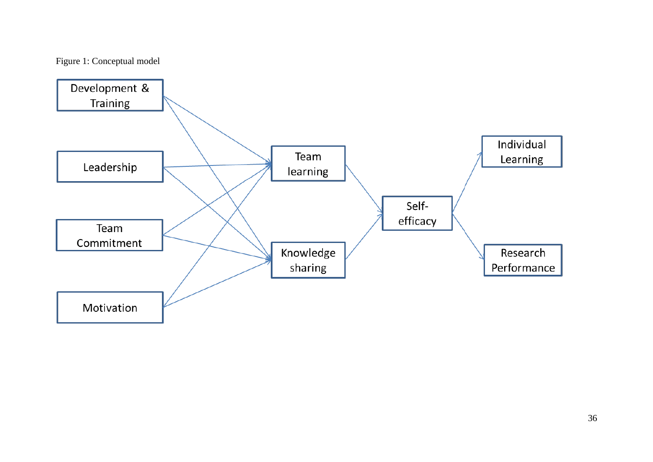## Figure 1: Conceptual model

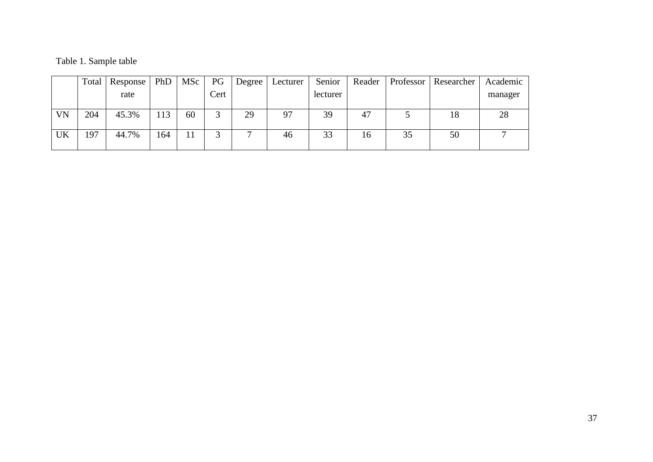|  |  | Table 1. Sample table |  |
|--|--|-----------------------|--|
|--|--|-----------------------|--|

|           | Total | Response | PhD | MS <sub>c</sub> | PG   | Degree | Lecturer | Senior   | Reader | Professor | Researcher | Academic |
|-----------|-------|----------|-----|-----------------|------|--------|----------|----------|--------|-----------|------------|----------|
|           |       | rate     |     |                 | Cert |        |          | lecturer |        |           |            | manager  |
|           |       |          |     |                 |      |        |          |          |        |           |            |          |
| <b>VN</b> | 204   | 45.3%    | 113 | 60              | ⌒    | 29     | 97       | 39       | 47     |           | 18         | 28       |
|           |       |          |     |                 |      |        |          |          |        |           |            |          |
| <b>UK</b> | 197   | 44.7%    | 164 |                 |      |        | 46       | 33       | 16     | 35        | 50         |          |
|           |       |          |     |                 |      |        |          |          |        |           |            |          |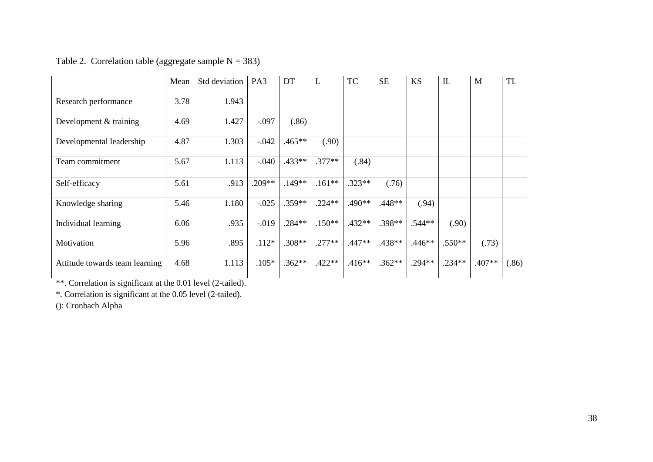|                                | Mean | Std deviation | PA3      | DT       | L        | <b>TC</b> | <b>SE</b> | <b>KS</b> | IL       | M        | <b>TL</b> |
|--------------------------------|------|---------------|----------|----------|----------|-----------|-----------|-----------|----------|----------|-----------|
| Research performance           | 3.78 | 1.943         |          |          |          |           |           |           |          |          |           |
| Development & training         | 4.69 | 1.427         | $-.097$  | (.86)    |          |           |           |           |          |          |           |
| Developmental leadership       | 4.87 | 1.303         | $-.042$  | $.465**$ | (.90)    |           |           |           |          |          |           |
| Team commitment                | 5.67 | 1.113         | $-0.040$ | .433**   | $.377**$ | (.84)     |           |           |          |          |           |
| Self-efficacy                  | 5.61 | .913          | $.209**$ | $.149**$ | $.161**$ | $.323**$  | (.76)     |           |          |          |           |
| Knowledge sharing              | 5.46 | 1.180         | $-.025$  | $.359**$ | $.224**$ | .490**    | $.448**$  | (.94)     |          |          |           |
| Individual learning            | 6.06 | .935          | $-0.019$ | $.284**$ | $.150**$ | $.432**$  | $.398**$  | $.544**$  | (.90)    |          |           |
| Motivation                     | 5.96 | .895          | $.112*$  | $.308**$ | $.277**$ | .447**    | $.438**$  | $.446**$  | $.550**$ | (.73)    |           |
| Attitude towards team learning | 4.68 | 1.113         | $.105*$  | $.362**$ | $.422**$ | $.416**$  | $.362**$  | $.294**$  | $.234**$ | $.407**$ | (.86)     |

Table 2. Correlation table (aggregate sample  $N = 383$ )

\*\*. Correlation is significant at the 0.01 level (2-tailed).

\*. Correlation is significant at the 0.05 level (2-tailed).

(): Cronbach Alpha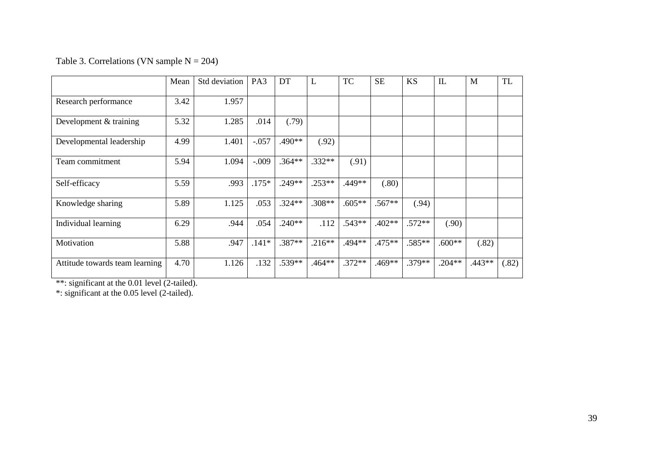## Table 3. Correlations (VN sample  $N = 204$ )

|                                | Mean | Std deviation | PA <sub>3</sub> | DT       | L        | <b>TC</b> | <b>SE</b> | <b>KS</b> | IL       | M      | <b>TL</b> |
|--------------------------------|------|---------------|-----------------|----------|----------|-----------|-----------|-----------|----------|--------|-----------|
| Research performance           | 3.42 | 1.957         |                 |          |          |           |           |           |          |        |           |
| Development & training         | 5.32 | 1.285         | .014            | (.79)    |          |           |           |           |          |        |           |
| Developmental leadership       | 4.99 | 1.401         | $-.057$         | .490**   | (.92)    |           |           |           |          |        |           |
| Team commitment                | 5.94 | 1.094         | $-.009$         | $.364**$ | $.332**$ | (.91)     |           |           |          |        |           |
| Self-efficacy                  | 5.59 | .993          | $.175*$         | $.249**$ | $.253**$ | .449**    | (.80)     |           |          |        |           |
| Knowledge sharing              | 5.89 | 1.125         | .053            | $.324**$ | $.308**$ | $.605**$  | $.567**$  | (.94)     |          |        |           |
| Individual learning            | 6.29 | .944          | .054            | $.240**$ | .112     | $.543**$  | $.402**$  | $.572**$  | (.90)    |        |           |
| Motivation                     | 5.88 | .947          | $.141*$         | $.387**$ | $.216**$ | .494**    | .475**    | $.585**$  | $.600**$ | (.82)  |           |
| Attitude towards team learning | 4.70 | 1.126         | .132            | .539**   | $.464**$ | $.372**$  | .469**    | $.379**$  | $.204**$ | .443** | (.82)     |

\*\*: significant at the 0.01 level (2-tailed).

\*: significant at the 0.05 level (2-tailed).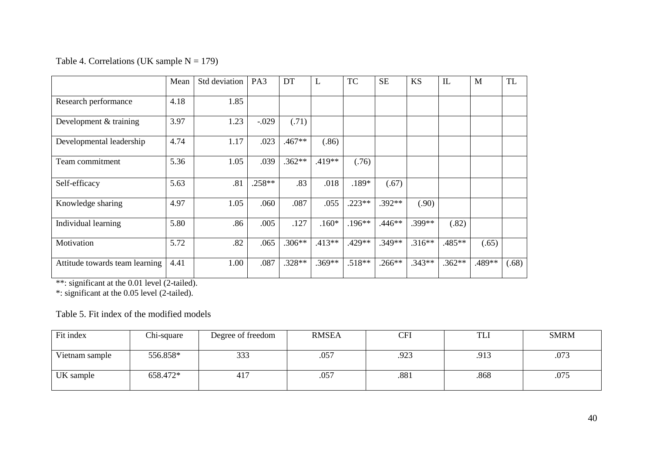#### Table 4. Correlations (UK sample  $N = 179$ )

|                                | Mean | Std deviation | PA <sub>3</sub> | DT       | L        | <b>TC</b> | <b>SE</b> | <b>KS</b> | $\mathbf{I}$ | M      | <b>TL</b> |
|--------------------------------|------|---------------|-----------------|----------|----------|-----------|-----------|-----------|--------------|--------|-----------|
| Research performance           | 4.18 | 1.85          |                 |          |          |           |           |           |              |        |           |
| Development & training         | 3.97 | 1.23          | $-.029$         | (.71)    |          |           |           |           |              |        |           |
| Developmental leadership       | 4.74 | 1.17          | .023            | $.467**$ | (.86)    |           |           |           |              |        |           |
| Team commitment                | 5.36 | 1.05          | .039            | $.362**$ | $.419**$ | (.76)     |           |           |              |        |           |
| Self-efficacy                  | 5.63 | .81           | $.258**$        | .83      | .018     | $.189*$   | (.67)     |           |              |        |           |
| Knowledge sharing              | 4.97 | 1.05          | .060            | .087     | .055     | $.223**$  | $.392**$  | (.90)     |              |        |           |
| Individual learning            | 5.80 | .86           | .005            | .127     | $.160*$  | $.196**$  | $.446**$  | .399**    | (.82)        |        |           |
| Motivation                     | 5.72 | .82           | .065            | $.306**$ | $.413**$ | $.429**$  | $.349**$  | $.316**$  | .485**       | (.65)  |           |
| Attitude towards team learning | 4.41 | 1.00          | .087            | .328**   | $.369**$ | $.518**$  | $.266**$  | $.343**$  | $.362**$     | .489** | (.68)     |

\*\*: significant at the 0.01 level (2-tailed).

\*: significant at the 0.05 level (2-tailed).

#### Table 5. Fit index of the modified models

| Fit index      | Chi-square | Degree of freedom | <b>RMSEA</b> | CFI  | <b>TLI</b> | <b>SMRM</b> |
|----------------|------------|-------------------|--------------|------|------------|-------------|
| Vietnam sample | 556.858*   | 333               | .057         | .923 | .913       | .073        |
| UK sample      | 658.472*   | 417               | .057         | .881 | .868       | .075        |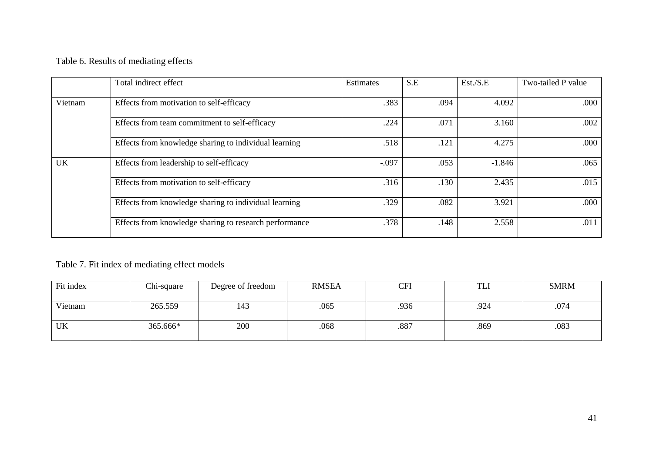## Table 6. Results of mediating effects

|           | Total indirect effect                                  | Estimates | S.E  | Est./S.E | Two-tailed P value |
|-----------|--------------------------------------------------------|-----------|------|----------|--------------------|
| Vietnam   | Effects from motivation to self-efficacy               | .383      | .094 | 4.092    | .000               |
|           | Effects from team commitment to self-efficacy          | .224      | .071 | 3.160    | .002               |
|           | Effects from knowledge sharing to individual learning  | .518      | .121 | 4.275    | .000               |
| <b>UK</b> | Effects from leadership to self-efficacy               | $-.097$   | .053 | $-1.846$ | .065               |
|           | Effects from motivation to self-efficacy               | .316      | .130 | 2.435    | .015               |
|           | Effects from knowledge sharing to individual learning  | .329      | .082 | 3.921    | .000               |
|           | Effects from knowledge sharing to research performance | .378      | .148 | 2.558    | .011               |

## Table 7. Fit index of mediating effect models

| Fit index | Chi-square | Degree of freedom | <b>RMSEA</b> | CFI  | TLI  | <b>SMRM</b> |
|-----------|------------|-------------------|--------------|------|------|-------------|
| Vietnam   | 265.559    | 143               | .065         | .936 | .924 | .074        |
| UK        | 365.666*   | 200               | .068         | .887 | .869 | .083        |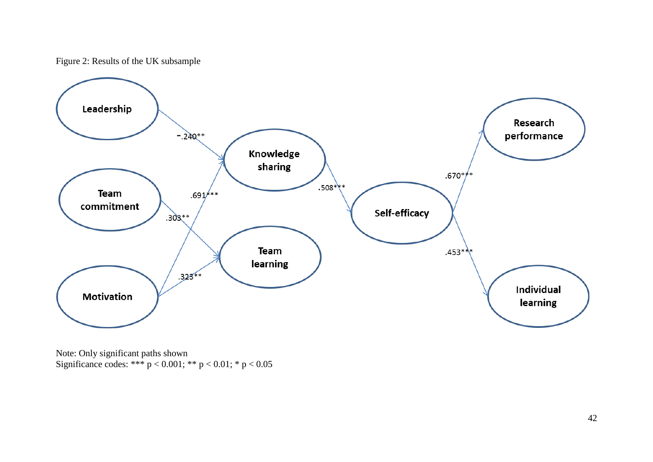Figure 2: Results of the UK subsample



Note: Only significant paths shown Significance codes: \*\*\*  $p < 0.001$ ; \*\*  $p < 0.01$ ; \*  $p < 0.05$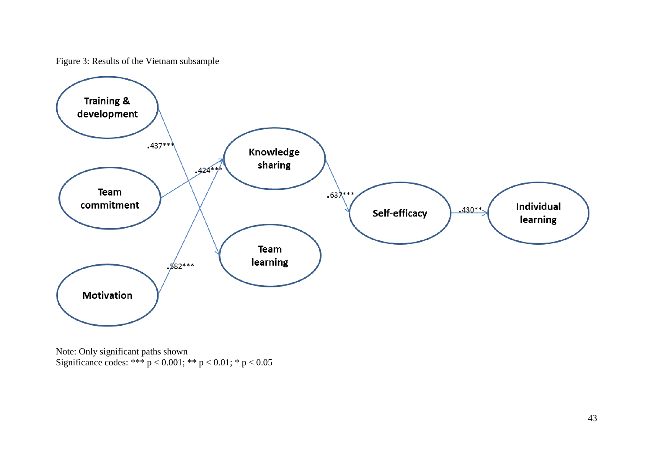Figure 3: Results of the Vietnam subsample



Note: Only significant paths shown Significance codes: \*\*\*  $p < 0.001$ ; \*\*  $p < 0.01$ ; \*  $p < 0.05$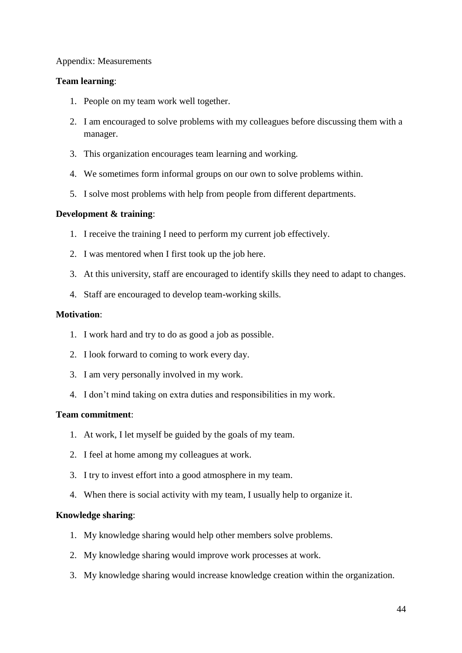#### Appendix: Measurements

#### **Team learning**:

- 1. People on my team work well together.
- 2. I am encouraged to solve problems with my colleagues before discussing them with a manager.
- 3. This organization encourages team learning and working.
- 4. We sometimes form informal groups on our own to solve problems within.
- 5. I solve most problems with help from people from different departments.

#### **Development & training**:

- 1. I receive the training I need to perform my current job effectively.
- 2. I was mentored when I first took up the job here.
- 3. At this university, staff are encouraged to identify skills they need to adapt to changes.
- 4. Staff are encouraged to develop team-working skills.

#### **Motivation**:

- 1. I work hard and try to do as good a job as possible.
- 2. I look forward to coming to work every day.
- 3. I am very personally involved in my work.
- 4. I don't mind taking on extra duties and responsibilities in my work.

#### **Team commitment**:

- 1. At work, I let myself be guided by the goals of my team.
- 2. I feel at home among my colleagues at work.
- 3. I try to invest effort into a good atmosphere in my team.
- 4. When there is social activity with my team, I usually help to organize it.

#### **Knowledge sharing**:

- 1. My knowledge sharing would help other members solve problems.
- 2. My knowledge sharing would improve work processes at work.
- 3. My knowledge sharing would increase knowledge creation within the organization.